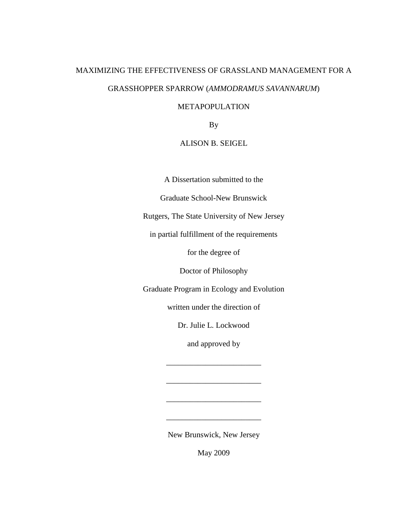# MAXIMIZING THE EFFECTIVENESS OF GRASSLAND MANAGEMENT FOR A GRASSHOPPER SPARROW (*AMMODRAMUS SAVANNARUM*)

# METAPOPULATION

By

# ALISON B. SEIGEL

A Dissertation submitted to the

Graduate School-New Brunswick

Rutgers, The State University of New Jersey

in partial fulfillment of the requirements

for the degree of

Doctor of Philosophy

Graduate Program in Ecology and Evolution

written under the direction of

Dr. Julie L. Lockwood

and approved by

\_\_\_\_\_\_\_\_\_\_\_\_\_\_\_\_\_\_\_\_\_\_\_\_

\_\_\_\_\_\_\_\_\_\_\_\_\_\_\_\_\_\_\_\_\_\_\_\_

\_\_\_\_\_\_\_\_\_\_\_\_\_\_\_\_\_\_\_\_\_\_\_\_

\_\_\_\_\_\_\_\_\_\_\_\_\_\_\_\_\_\_\_\_\_\_\_\_

New Brunswick, New Jersey

May 2009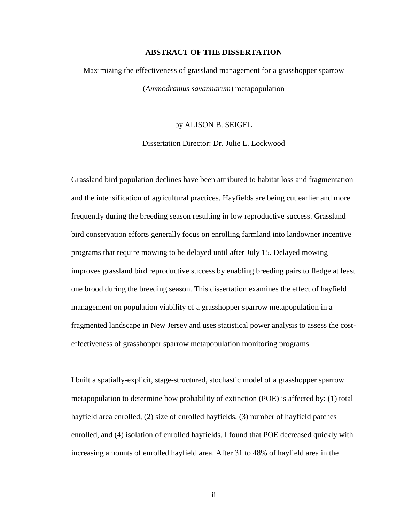#### **ABSTRACT OF THE DISSERTATION**

# Maximizing the effectiveness of grassland management for a grasshopper sparrow (*Ammodramus savannarum*) metapopulation

by ALISON B. SEIGEL

Dissertation Director: Dr. Julie L. Lockwood

Grassland bird population declines have been attributed to habitat loss and fragmentation and the intensification of agricultural practices. Hayfields are being cut earlier and more frequently during the breeding season resulting in low reproductive success. Grassland bird conservation efforts generally focus on enrolling farmland into landowner incentive programs that require mowing to be delayed until after July 15. Delayed mowing improves grassland bird reproductive success by enabling breeding pairs to fledge at least one brood during the breeding season. This dissertation examines the effect of hayfield management on population viability of a grasshopper sparrow metapopulation in a fragmented landscape in New Jersey and uses statistical power analysis to assess the costeffectiveness of grasshopper sparrow metapopulation monitoring programs.

I built a spatially-explicit, stage-structured, stochastic model of a grasshopper sparrow metapopulation to determine how probability of extinction (POE) is affected by: (1) total hayfield area enrolled, (2) size of enrolled hayfields, (3) number of hayfield patches enrolled, and (4) isolation of enrolled hayfields. I found that POE decreased quickly with increasing amounts of enrolled hayfield area. After 31 to 48% of hayfield area in the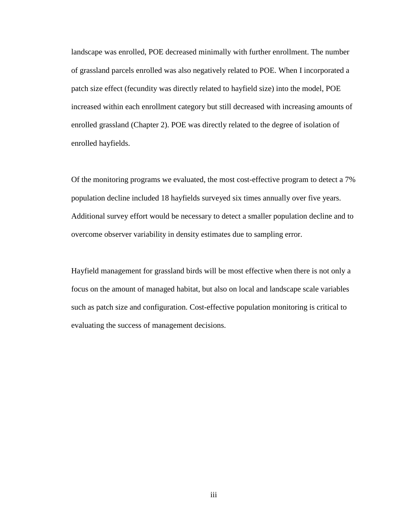landscape was enrolled, POE decreased minimally with further enrollment. The number of grassland parcels enrolled was also negatively related to POE. When I incorporated a patch size effect (fecundity was directly related to hayfield size) into the model, POE increased within each enrollment category but still decreased with increasing amounts of enrolled grassland (Chapter 2). POE was directly related to the degree of isolation of enrolled hayfields.

Of the monitoring programs we evaluated, the most cost-effective program to detect a 7% population decline included 18 hayfields surveyed six times annually over five years. Additional survey effort would be necessary to detect a smaller population decline and to overcome observer variability in density estimates due to sampling error.

Hayfield management for grassland birds will be most effective when there is not only a focus on the amount of managed habitat, but also on local and landscape scale variables such as patch size and configuration. Cost-effective population monitoring is critical to evaluating the success of management decisions.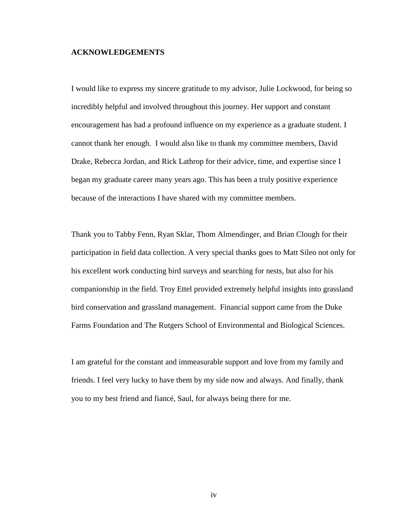#### **ACKNOWLEDGEMENTS**

I would like to express my sincere gratitude to my advisor, Julie Lockwood, for being so incredibly helpful and involved throughout this journey. Her support and constant encouragement has had a profound influence on my experience as a graduate student. I cannot thank her enough. I would also like to thank my committee members, David Drake, Rebecca Jordan, and Rick Lathrop for their advice, time, and expertise since I began my graduate career many years ago. This has been a truly positive experience because of the interactions I have shared with my committee members.

Thank you to Tabby Fenn, Ryan Sklar, Thom Almendinger, and Brian Clough for their participation in field data collection. A very special thanks goes to Matt Sileo not only for his excellent work conducting bird surveys and searching for nests, but also for his companionship in the field. Troy Ettel provided extremely helpful insights into grassland bird conservation and grassland management. Financial support came from the Duke Farms Foundation and The Rutgers School of Environmental and Biological Sciences.

I am grateful for the constant and immeasurable support and love from my family and friends. I feel very lucky to have them by my side now and always. And finally, thank you to my best friend and fiancé, Saul, for always being there for me.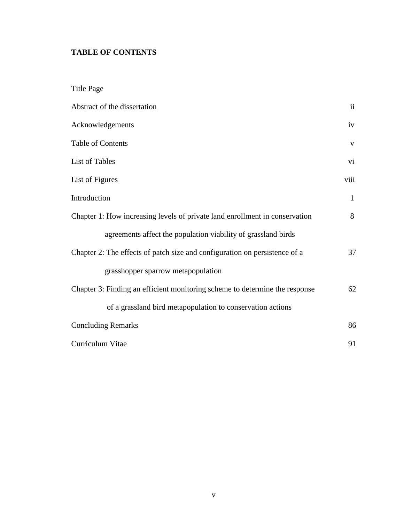# **TABLE OF CONTENTS**

| <b>Title Page</b>                                                           |               |
|-----------------------------------------------------------------------------|---------------|
| Abstract of the dissertation                                                | $\mathbf{ii}$ |
| Acknowledgements                                                            | iv            |
| Table of Contents                                                           | V             |
| List of Tables                                                              | vi            |
| List of Figures                                                             | viii          |
| Introduction                                                                | $\mathbf{1}$  |
| Chapter 1: How increasing levels of private land enrollment in conservation | 8             |
| agreements affect the population viability of grassland birds               |               |
| Chapter 2: The effects of patch size and configuration on persistence of a  | 37            |
| grasshopper sparrow metapopulation                                          |               |
| Chapter 3: Finding an efficient monitoring scheme to determine the response | 62            |
| of a grassland bird metapopulation to conservation actions                  |               |
| <b>Concluding Remarks</b>                                                   | 86            |
| Curriculum Vitae                                                            | 91            |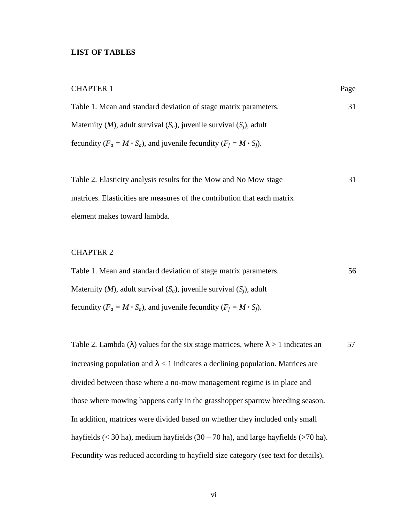## **LIST OF TABLES**

| <b>CHAPTER 1</b>                                                                   | Page |
|------------------------------------------------------------------------------------|------|
| Table 1. Mean and standard deviation of stage matrix parameters.                   | 31   |
| Maternity ( <i>M</i> ), adult survival $(S_a)$ , juvenile survival $(S_i)$ , adult |      |
| fecundity ( $F_a = M \cdot S_a$ ), and juvenile fecundity ( $F_i = M \cdot S_i$ ). |      |

| Table 2. Elasticity analysis results for the Mow and No Mow stage        | 31 |
|--------------------------------------------------------------------------|----|
| matrices. Elasticities are measures of the contribution that each matrix |    |
| element makes toward lambda.                                             |    |

# CHAPTER 2

Table 1. Mean and standard deviation of stage matrix parameters. 56 Maternity (*M*), adult survival  $(S_a)$ , juvenile survival  $(S_i)$ , adult fecundity ( $F_a = M \cdot S_a$ ), and juvenile fecundity ( $F_j = M \cdot S_j$ ).

Table 2. Lambda ( $\lambda$ ) values for the six stage matrices, where  $\lambda > 1$  indicates an 57 increasing population and  $\lambda$  < 1 indicates a declining population. Matrices are divided between those where a no-mow management regime is in place and those where mowing happens early in the grasshopper sparrow breeding season. In addition, matrices were divided based on whether they included only small hayfields ( $<$  30 ha), medium hayfields (30 – 70 ha), and large hayfields ( $>$ 70 ha). Fecundity was reduced according to hayfield size category (see text for details).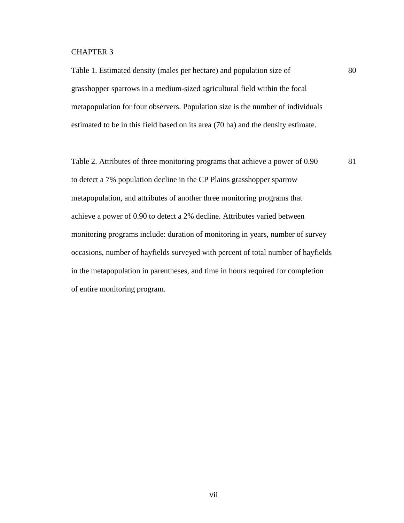## CHAPTER 3

Table 1. Estimated density (males per hectare) and population size of 80 grasshopper sparrows in a medium-sized agricultural field within the focal metapopulation for four observers. Population size is the number of individuals estimated to be in this field based on its area (70 ha) and the density estimate.

Table 2. Attributes of three monitoring programs that achieve a power of 0.90 81 to detect a 7% population decline in the CP Plains grasshopper sparrow metapopulation, and attributes of another three monitoring programs that achieve a power of 0.90 to detect a 2% decline. Attributes varied between monitoring programs include: duration of monitoring in years, number of survey occasions, number of hayfields surveyed with percent of total number of hayfields in the metapopulation in parentheses, and time in hours required for completion of entire monitoring program.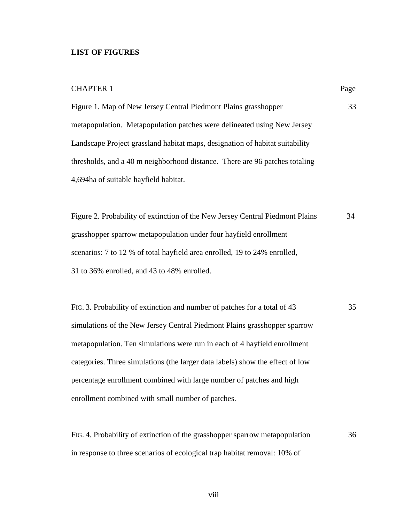# **LIST OF FIGURES**

| <b>CHAPTER 1</b>                                                              | Page |
|-------------------------------------------------------------------------------|------|
| Figure 1. Map of New Jersey Central Piedmont Plains grasshopper               | 33   |
| metapopulation. Metapopulation patches were delineated using New Jersey       |      |
| Landscape Project grassland habitat maps, designation of habitat suitability  |      |
| thresholds, and a 40 m neighborhood distance. There are 96 patches totaling   |      |
| 4,694ha of suitable hayfield habitat.                                         |      |
|                                                                               |      |
| Figure 2. Probability of extinction of the New Jersey Central Piedmont Plains | 34   |
| grasshopper sparrow metapopulation under four hayfield enrollment             |      |
| scenarios: 7 to 12 % of total hayfield area enrolled, 19 to 24% enrolled,     |      |
| 31 to 36% enrolled, and 43 to 48% enrolled.                                   |      |
|                                                                               |      |
| FIG. 3. Probability of extinction and number of patches for a total of 43     | 35   |
| simulations of the New Jersey Central Piedmont Plains grasshopper sparrow     |      |
| metapopulation. Ten simulations were run in each of 4 hayfield enrollment     |      |
| categories. Three simulations (the larger data labels) show the effect of low |      |
| percentage enrollment combined with large number of patches and high          |      |

enrollment combined with small number of patches.

FIG. 4. Probability of extinction of the grasshopper sparrow metapopulation 36 in response to three scenarios of ecological trap habitat removal: 10% of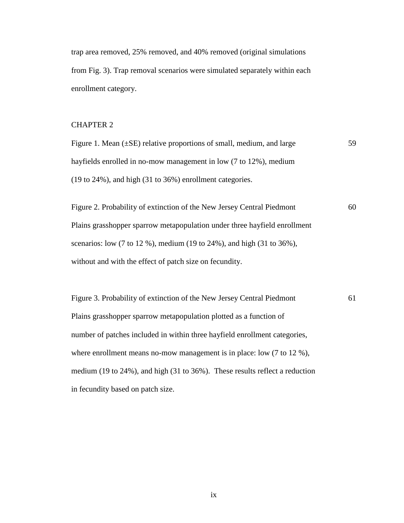trap area removed, 25% removed, and 40% removed (original simulations from Fig. 3). Trap removal scenarios were simulated separately within each enrollment category.

# CHAPTER 2

Figure 1. Mean  $(\pm SE)$  relative proportions of small, medium, and large  $59$ hayfields enrolled in no-mow management in low (7 to 12%), medium (19 to 24%), and high (31 to 36%) enrollment categories.

Figure 2. Probability of extinction of the New Jersey Central Piedmont 60 Plains grasshopper sparrow metapopulation under three hayfield enrollment scenarios: low (7 to 12 %), medium (19 to 24%), and high (31 to 36%), without and with the effect of patch size on fecundity.

Figure 3. Probability of extinction of the New Jersey Central Piedmont 61 Plains grasshopper sparrow metapopulation plotted as a function of number of patches included in within three hayfield enrollment categories, where enrollment means no-mow management is in place: low  $(7 \text{ to } 12 \%)$ , medium (19 to 24%), and high (31 to 36%). These results reflect a reduction in fecundity based on patch size.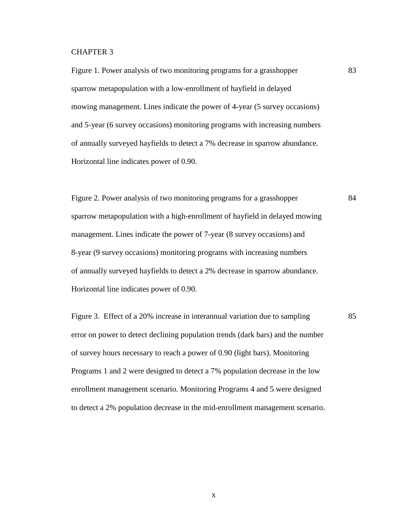### CHAPTER 3

Figure 1. Power analysis of two monitoring programs for a grasshopper 83 sparrow metapopulation with a low-enrollment of hayfield in delayed mowing management. Lines indicate the power of 4-year (5 survey occasions) and 5-year (6 survey occasions) monitoring programs with increasing numbers of annually surveyed hayfields to detect a 7% decrease in sparrow abundance. Horizontal line indicates power of 0.90.

Figure 2. Power analysis of two monitoring programs for a grasshopper 84 sparrow metapopulation with a high-enrollment of hayfield in delayed mowing management. Lines indicate the power of 7-year (8 survey occasions) and 8-year (9 survey occasions) monitoring programs with increasing numbers of annually surveyed hayfields to detect a 2% decrease in sparrow abundance. Horizontal line indicates power of 0.90.

Figure 3. Effect of a 20% increase in interannual variation due to sampling 85 error on power to detect declining population trends (dark bars) and the number of survey hours necessary to reach a power of 0.90 (light bars). Monitoring Programs 1 and 2 were designed to detect a 7% population decrease in the low enrollment management scenario. Monitoring Programs 4 and 5 were designed to detect a 2% population decrease in the mid-enrollment management scenario.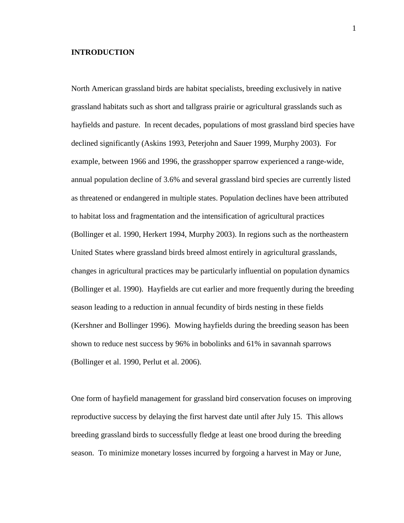### **INTRODUCTION**

North American grassland birds are habitat specialists, breeding exclusively in native grassland habitats such as short and tallgrass prairie or agricultural grasslands such as hayfields and pasture. In recent decades, populations of most grassland bird species have declined significantly (Askins 1993, Peterjohn and Sauer 1999, Murphy 2003). For example, between 1966 and 1996, the grasshopper sparrow experienced a range-wide, annual population decline of 3.6% and several grassland bird species are currently listed as threatened or endangered in multiple states. Population declines have been attributed to habitat loss and fragmentation and the intensification of agricultural practices (Bollinger et al. 1990, Herkert 1994, Murphy 2003). In regions such as the northeastern United States where grassland birds breed almost entirely in agricultural grasslands, changes in agricultural practices may be particularly influential on population dynamics (Bollinger et al. 1990). Hayfields are cut earlier and more frequently during the breeding season leading to a reduction in annual fecundity of birds nesting in these fields (Kershner and Bollinger 1996). Mowing hayfields during the breeding season has been shown to reduce nest success by 96% in bobolinks and 61% in savannah sparrows (Bollinger et al. 1990, Perlut et al. 2006).

One form of hayfield management for grassland bird conservation focuses on improving reproductive success by delaying the first harvest date until after July 15. This allows breeding grassland birds to successfully fledge at least one brood during the breeding season. To minimize monetary losses incurred by forgoing a harvest in May or June,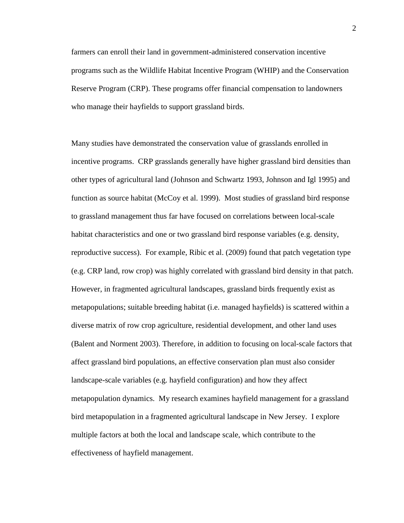farmers can enroll their land in government-administered conservation incentive programs such as the Wildlife Habitat Incentive Program (WHIP) and the Conservation Reserve Program (CRP). These programs offer financial compensation to landowners who manage their hayfields to support grassland birds.

Many studies have demonstrated the conservation value of grasslands enrolled in incentive programs. CRP grasslands generally have higher grassland bird densities than other types of agricultural land (Johnson and Schwartz 1993, Johnson and Igl 1995) and function as source habitat (McCoy et al. 1999). Most studies of grassland bird response to grassland management thus far have focused on correlations between local-scale habitat characteristics and one or two grassland bird response variables (e.g. density, reproductive success). For example, Ribic et al. (2009) found that patch vegetation type (e.g. CRP land, row crop) was highly correlated with grassland bird density in that patch. However, in fragmented agricultural landscapes, grassland birds frequently exist as metapopulations; suitable breeding habitat (i.e. managed hayfields) is scattered within a diverse matrix of row crop agriculture, residential development, and other land uses (Balent and Norment 2003). Therefore, in addition to focusing on local-scale factors that affect grassland bird populations, an effective conservation plan must also consider landscape-scale variables (e.g. hayfield configuration) and how they affect metapopulation dynamics. My research examines hayfield management for a grassland bird metapopulation in a fragmented agricultural landscape in New Jersey. I explore multiple factors at both the local and landscape scale, which contribute to the effectiveness of hayfield management.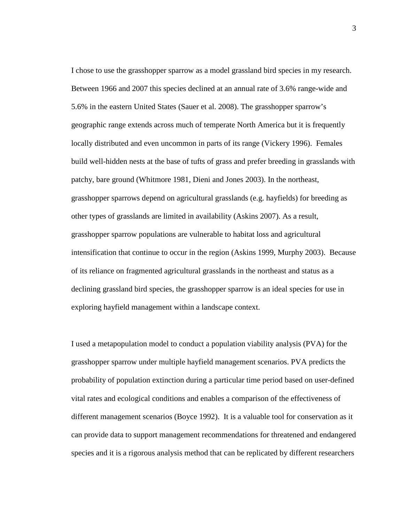I chose to use the grasshopper sparrow as a model grassland bird species in my research. Between 1966 and 2007 this species declined at an annual rate of 3.6% range-wide and 5.6% in the eastern United States (Sauer et al. 2008). The grasshopper sparrow's geographic range extends across much of temperate North America but it is frequently locally distributed and even uncommon in parts of its range (Vickery 1996). Females build well-hidden nests at the base of tufts of grass and prefer breeding in grasslands with patchy, bare ground (Whitmore 1981, Dieni and Jones 2003). In the northeast, grasshopper sparrows depend on agricultural grasslands (e.g. hayfields) for breeding as other types of grasslands are limited in availability (Askins 2007). As a result, grasshopper sparrow populations are vulnerable to habitat loss and agricultural intensification that continue to occur in the region (Askins 1999, Murphy 2003). Because of its reliance on fragmented agricultural grasslands in the northeast and status as a declining grassland bird species, the grasshopper sparrow is an ideal species for use in exploring hayfield management within a landscape context.

I used a metapopulation model to conduct a population viability analysis (PVA) for the grasshopper sparrow under multiple hayfield management scenarios. PVA predicts the probability of population extinction during a particular time period based on user-defined vital rates and ecological conditions and enables a comparison of the effectiveness of different management scenarios (Boyce 1992). It is a valuable tool for conservation as it can provide data to support management recommendations for threatened and endangered species and it is a rigorous analysis method that can be replicated by different researchers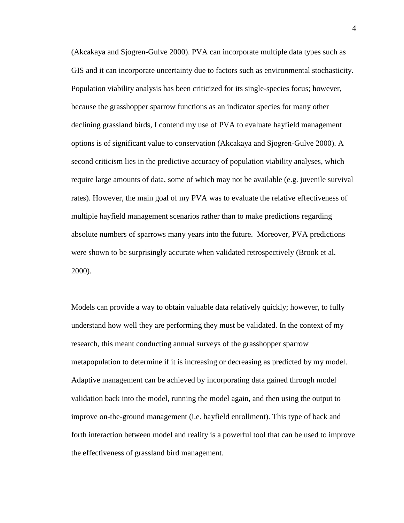(Akcakaya and Sjogren-Gulve 2000). PVA can incorporate multiple data types such as GIS and it can incorporate uncertainty due to factors such as environmental stochasticity. Population viability analysis has been criticized for its single-species focus; however, because the grasshopper sparrow functions as an indicator species for many other declining grassland birds, I contend my use of PVA to evaluate hayfield management options is of significant value to conservation (Akcakaya and Sjogren-Gulve 2000). A second criticism lies in the predictive accuracy of population viability analyses, which require large amounts of data, some of which may not be available (e.g. juvenile survival rates). However, the main goal of my PVA was to evaluate the relative effectiveness of multiple hayfield management scenarios rather than to make predictions regarding absolute numbers of sparrows many years into the future. Moreover, PVA predictions were shown to be surprisingly accurate when validated retrospectively (Brook et al. 2000).

Models can provide a way to obtain valuable data relatively quickly; however, to fully understand how well they are performing they must be validated. In the context of my research, this meant conducting annual surveys of the grasshopper sparrow metapopulation to determine if it is increasing or decreasing as predicted by my model. Adaptive management can be achieved by incorporating data gained through model validation back into the model, running the model again, and then using the output to improve on-the-ground management (i.e. hayfield enrollment). This type of back and forth interaction between model and reality is a powerful tool that can be used to improve the effectiveness of grassland bird management.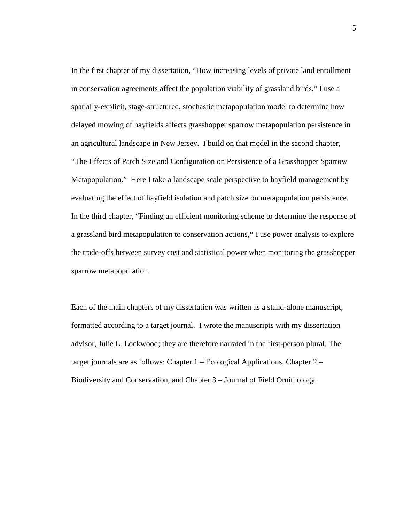In the first chapter of my dissertation, "How increasing levels of private land enrollment in conservation agreements affect the population viability of grassland birds," I use a spatially-explicit, stage-structured, stochastic metapopulation model to determine how delayed mowing of hayfields affects grasshopper sparrow metapopulation persistence in an agricultural landscape in New Jersey. I build on that model in the second chapter, "The Effects of Patch Size and Configuration on Persistence of a Grasshopper Sparrow Metapopulation." Here I take a landscape scale perspective to hayfield management by evaluating the effect of hayfield isolation and patch size on metapopulation persistence. In the third chapter, "Finding an efficient monitoring scheme to determine the response of a grassland bird metapopulation to conservation actions,**"** I use power analysis to explore the trade-offs between survey cost and statistical power when monitoring the grasshopper sparrow metapopulation.

Each of the main chapters of my dissertation was written as a stand-alone manuscript, formatted according to a target journal. I wrote the manuscripts with my dissertation advisor, Julie L. Lockwood; they are therefore narrated in the first-person plural. The target journals are as follows: Chapter 1 – Ecological Applications, Chapter 2 – Biodiversity and Conservation, and Chapter 3 – Journal of Field Ornithology.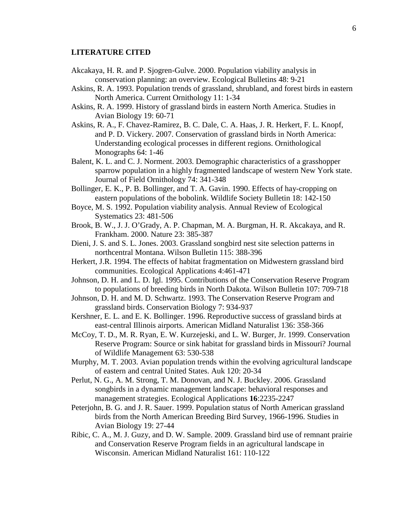### **LITERATURE CITED**

- Akcakaya, H. R. and P. Sjogren-Gulve. 2000. Population viability analysis in conservation planning: an overview. Ecological Bulletins 48: 9-21
- Askins, R. A. 1993. Population trends of grassland, shrubland, and forest birds in eastern North America. Current Ornithology 11: 1-34
- Askins, R. A. 1999. History of grassland birds in eastern North America. Studies in Avian Biology 19: 60-71
- Askins, R. A., F. Chavez-Ramirez, B. C. Dale, C. A. Haas, J. R. Herkert, F. L. Knopf, and P. D. Vickery. 2007. Conservation of grassland birds in North America: Understanding ecological processes in different regions. Ornithological Monographs 64: 1-46
- Balent, K. L. and C. J. Norment. 2003. Demographic characteristics of a grasshopper sparrow population in a highly fragmented landscape of western New York state. Journal of Field Ornithology 74: 341-348
- Bollinger, E. K., P. B. Bollinger, and T. A. Gavin. 1990. Effects of hay-cropping on eastern populations of the bobolink. Wildlife Society Bulletin 18: 142-150
- Boyce, M. S. 1992. Population viability analysis. Annual Review of Ecological Systematics 23: 481-506
- Brook, B. W., J. J. O'Grady, A. P. Chapman, M. A. Burgman, H. R. Akcakaya, and R. Frankham. 2000. Nature 23: 385-387
- Dieni, J. S. and S. L. Jones. 2003. Grassland songbird nest site selection patterns in northcentral Montana. Wilson Bulletin 115: 388-396
- Herkert, J.R. 1994. The effects of habitat fragmentation on Midwestern grassland bird communities. Ecological Applications 4:461-471
- Johnson, D. H. and L. D. Igl. 1995. Contributions of the Conservation Reserve Program to populations of breeding birds in North Dakota. Wilson Bulletin 107: 709-718
- Johnson, D. H. and M. D. Schwartz. 1993. The Conservation Reserve Program and grassland birds. Conservation Biology 7: 934-937
- Kershner, E. L. and E. K. Bollinger. 1996. Reproductive success of grassland birds at east-central Illinois airports. American Midland Naturalist 136: 358-366
- McCoy, T. D., M. R. Ryan, E. W. Kurzejeski, and L. W. Burger, Jr. 1999. Conservation Reserve Program: Source or sink habitat for grassland birds in Missouri? Journal of Wildlife Management 63: 530-538
- Murphy, M. T. 2003. Avian population trends within the evolving agricultural landscape of eastern and central United States. Auk 120: 20-34
- Perlut, N. G., A. M. Strong, T. M. Donovan, and N. J. Buckley. 2006. Grassland songbirds in a dynamic management landscape: behavioral responses and management strategies. Ecological Applications **16**:2235-2247
- Peterjohn, B. G. and J. R. Sauer. 1999. Population status of North American grassland birds from the North American Breeding Bird Survey, 1966-1996. Studies in Avian Biology 19: 27-44
- Ribic, C. A., M. J. Guzy, and D. W. Sample. 2009. Grassland bird use of remnant prairie and Conservation Reserve Program fields in an agricultural landscape in Wisconsin. American Midland Naturalist 161: 110-122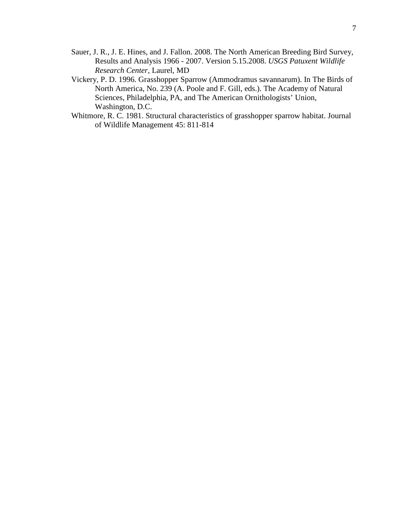- Sauer, J. R., J. E. Hines, and J. Fallon. 2008. The North American Breeding Bird Survey, Results and Analysis 1966 - 2007. Version 5.15.2008. *USGS Patuxent Wildlife Research Center*, Laurel, MD
- Vickery, P. D. 1996. Grasshopper Sparrow (Ammodramus savannarum). In The Birds of North America, No. 239 (A. Poole and F. Gill, eds.). The Academy of Natural Sciences, Philadelphia, PA, and The American Ornithologists' Union, Washington, D.C.
- Whitmore, R. C. 1981. Structural characteristics of grasshopper sparrow habitat. Journal of Wildlife Management 45: 811-814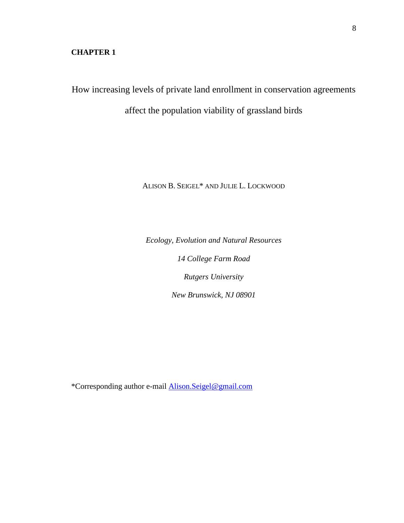# **CHAPTER 1**

How increasing levels of private land enrollment in conservation agreements

affect the population viability of grassland birds

ALISON B. SEIGEL\* AND JULIE L. LOCKWOOD

*Ecology, Evolution and Natural Resources 14 College Farm Road Rutgers University New Brunswick, NJ 08901* 

\*Corresponding author e-mail Alison.Seigel@gmail.com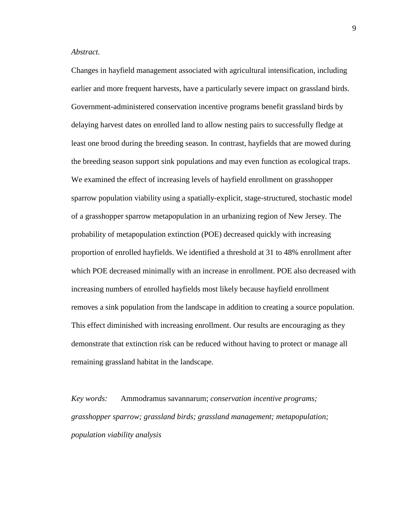#### *Abstract.*

Changes in hayfield management associated with agricultural intensification, including earlier and more frequent harvests, have a particularly severe impact on grassland birds. Government-administered conservation incentive programs benefit grassland birds by delaying harvest dates on enrolled land to allow nesting pairs to successfully fledge at least one brood during the breeding season. In contrast, hayfields that are mowed during the breeding season support sink populations and may even function as ecological traps. We examined the effect of increasing levels of hayfield enrollment on grasshopper sparrow population viability using a spatially-explicit, stage-structured, stochastic model of a grasshopper sparrow metapopulation in an urbanizing region of New Jersey. The probability of metapopulation extinction (POE) decreased quickly with increasing proportion of enrolled hayfields. We identified a threshold at 31 to 48% enrollment after which POE decreased minimally with an increase in enrollment. POE also decreased with increasing numbers of enrolled hayfields most likely because hayfield enrollment removes a sink population from the landscape in addition to creating a source population. This effect diminished with increasing enrollment. Our results are encouraging as they demonstrate that extinction risk can be reduced without having to protect or manage all remaining grassland habitat in the landscape.

*Key words:* Ammodramus savannarum; *conservation incentive programs; grasshopper sparrow; grassland birds; grassland management; metapopulation; population viability analysis*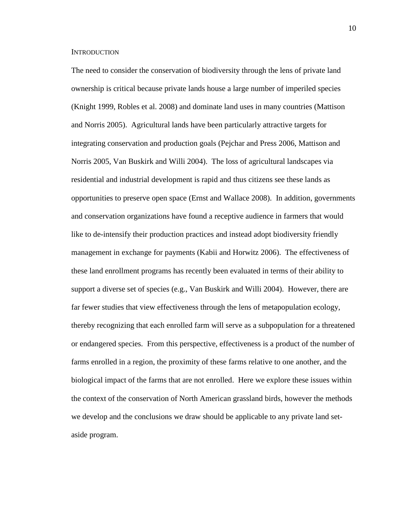#### **INTRODUCTION**

The need to consider the conservation of biodiversity through the lens of private land ownership is critical because private lands house a large number of imperiled species (Knight 1999, Robles et al. 2008) and dominate land uses in many countries (Mattison and Norris 2005). Agricultural lands have been particularly attractive targets for integrating conservation and production goals (Pejchar and Press 2006, Mattison and Norris 2005, Van Buskirk and Willi 2004). The loss of agricultural landscapes via residential and industrial development is rapid and thus citizens see these lands as opportunities to preserve open space (Ernst and Wallace 2008). In addition, governments and conservation organizations have found a receptive audience in farmers that would like to de-intensify their production practices and instead adopt biodiversity friendly management in exchange for payments (Kabii and Horwitz 2006). The effectiveness of these land enrollment programs has recently been evaluated in terms of their ability to support a diverse set of species (e.g., Van Buskirk and Willi 2004). However, there are far fewer studies that view effectiveness through the lens of metapopulation ecology, thereby recognizing that each enrolled farm will serve as a subpopulation for a threatened or endangered species. From this perspective, effectiveness is a product of the number of farms enrolled in a region, the proximity of these farms relative to one another, and the biological impact of the farms that are not enrolled. Here we explore these issues within the context of the conservation of North American grassland birds, however the methods we develop and the conclusions we draw should be applicable to any private land setaside program.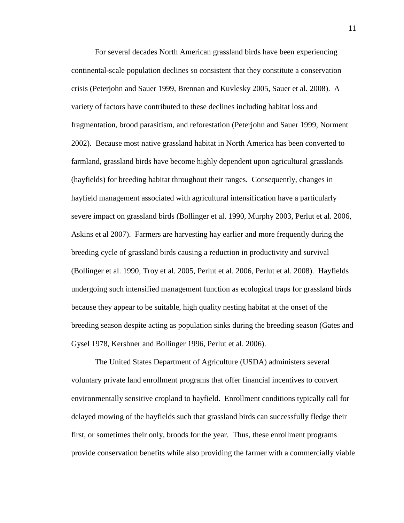For several decades North American grassland birds have been experiencing continental-scale population declines so consistent that they constitute a conservation crisis (Peterjohn and Sauer 1999, Brennan and Kuvlesky 2005, Sauer et al. 2008). A variety of factors have contributed to these declines including habitat loss and fragmentation, brood parasitism, and reforestation (Peterjohn and Sauer 1999, Norment 2002). Because most native grassland habitat in North America has been converted to farmland, grassland birds have become highly dependent upon agricultural grasslands (hayfields) for breeding habitat throughout their ranges. Consequently, changes in hayfield management associated with agricultural intensification have a particularly severe impact on grassland birds (Bollinger et al. 1990, Murphy 2003, Perlut et al. 2006, Askins et al 2007). Farmers are harvesting hay earlier and more frequently during the breeding cycle of grassland birds causing a reduction in productivity and survival (Bollinger et al. 1990, Troy et al. 2005, Perlut et al. 2006, Perlut et al. 2008). Hayfields undergoing such intensified management function as ecological traps for grassland birds because they appear to be suitable, high quality nesting habitat at the onset of the breeding season despite acting as population sinks during the breeding season (Gates and Gysel 1978, Kershner and Bollinger 1996, Perlut et al. 2006).

 The United States Department of Agriculture (USDA) administers several voluntary private land enrollment programs that offer financial incentives to convert environmentally sensitive cropland to hayfield. Enrollment conditions typically call for delayed mowing of the hayfields such that grassland birds can successfully fledge their first, or sometimes their only, broods for the year. Thus, these enrollment programs provide conservation benefits while also providing the farmer with a commercially viable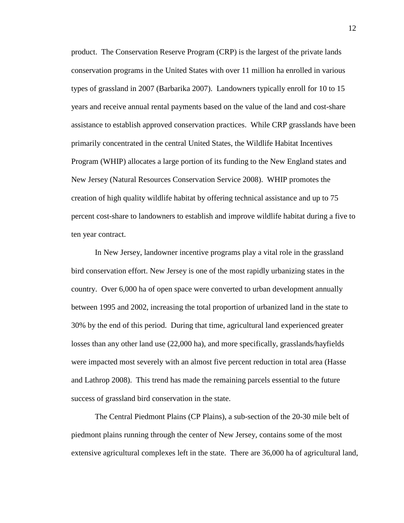product. The Conservation Reserve Program (CRP) is the largest of the private lands conservation programs in the United States with over 11 million ha enrolled in various types of grassland in 2007 (Barbarika 2007). Landowners typically enroll for 10 to 15 years and receive annual rental payments based on the value of the land and cost-share assistance to establish approved conservation practices. While CRP grasslands have been primarily concentrated in the central United States, the Wildlife Habitat Incentives Program (WHIP) allocates a large portion of its funding to the New England states and New Jersey (Natural Resources Conservation Service 2008). WHIP promotes the creation of high quality wildlife habitat by offering technical assistance and up to 75 percent cost-share to landowners to establish and improve wildlife habitat during a five to ten year contract.

 In New Jersey, landowner incentive programs play a vital role in the grassland bird conservation effort. New Jersey is one of the most rapidly urbanizing states in the country. Over 6,000 ha of open space were converted to urban development annually between 1995 and 2002, increasing the total proportion of urbanized land in the state to 30% by the end of this period. During that time, agricultural land experienced greater losses than any other land use (22,000 ha), and more specifically, grasslands/hayfields were impacted most severely with an almost five percent reduction in total area (Hasse and Lathrop 2008). This trend has made the remaining parcels essential to the future success of grassland bird conservation in the state.

 The Central Piedmont Plains (CP Plains), a sub-section of the 20-30 mile belt of piedmont plains running through the center of New Jersey, contains some of the most extensive agricultural complexes left in the state. There are 36,000 ha of agricultural land,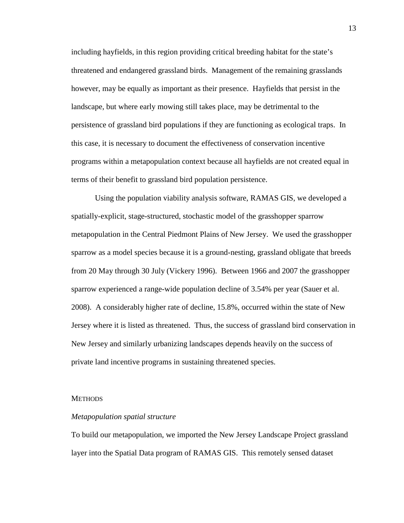including hayfields, in this region providing critical breeding habitat for the state's threatened and endangered grassland birds. Management of the remaining grasslands however, may be equally as important as their presence. Hayfields that persist in the landscape, but where early mowing still takes place, may be detrimental to the persistence of grassland bird populations if they are functioning as ecological traps. In this case, it is necessary to document the effectiveness of conservation incentive programs within a metapopulation context because all hayfields are not created equal in terms of their benefit to grassland bird population persistence.

 Using the population viability analysis software, RAMAS GIS, we developed a spatially-explicit, stage-structured, stochastic model of the grasshopper sparrow metapopulation in the Central Piedmont Plains of New Jersey. We used the grasshopper sparrow as a model species because it is a ground-nesting, grassland obligate that breeds from 20 May through 30 July (Vickery 1996). Between 1966 and 2007 the grasshopper sparrow experienced a range-wide population decline of 3.54% per year (Sauer et al. 2008). A considerably higher rate of decline, 15.8%, occurred within the state of New Jersey where it is listed as threatened. Thus, the success of grassland bird conservation in New Jersey and similarly urbanizing landscapes depends heavily on the success of private land incentive programs in sustaining threatened species.

#### **METHODS**

#### *Metapopulation spatial structure*

To build our metapopulation, we imported the New Jersey Landscape Project grassland layer into the Spatial Data program of RAMAS GIS. This remotely sensed dataset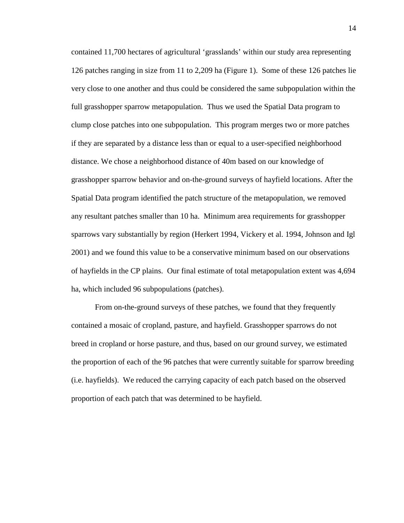contained 11,700 hectares of agricultural 'grasslands' within our study area representing 126 patches ranging in size from 11 to 2,209 ha (Figure 1). Some of these 126 patches lie very close to one another and thus could be considered the same subpopulation within the full grasshopper sparrow metapopulation. Thus we used the Spatial Data program to clump close patches into one subpopulation. This program merges two or more patches if they are separated by a distance less than or equal to a user-specified neighborhood distance. We chose a neighborhood distance of 40m based on our knowledge of grasshopper sparrow behavior and on-the-ground surveys of hayfield locations. After the Spatial Data program identified the patch structure of the metapopulation, we removed any resultant patches smaller than 10 ha. Minimum area requirements for grasshopper sparrows vary substantially by region (Herkert 1994, Vickery et al. 1994, Johnson and Igl 2001) and we found this value to be a conservative minimum based on our observations of hayfields in the CP plains. Our final estimate of total metapopulation extent was 4,694 ha, which included 96 subpopulations (patches).

 From on-the-ground surveys of these patches, we found that they frequently contained a mosaic of cropland, pasture, and hayfield. Grasshopper sparrows do not breed in cropland or horse pasture, and thus, based on our ground survey, we estimated the proportion of each of the 96 patches that were currently suitable for sparrow breeding (i.e. hayfields). We reduced the carrying capacity of each patch based on the observed proportion of each patch that was determined to be hayfield.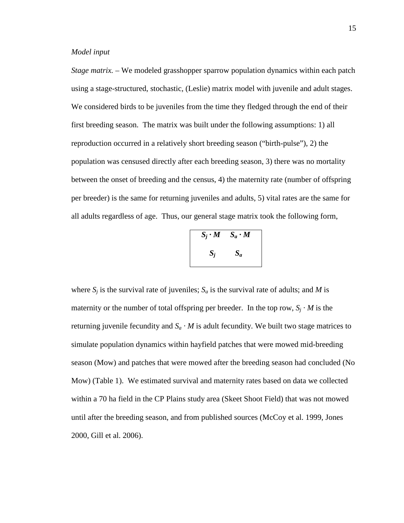*Stage matrix. –* We modeled grasshopper sparrow population dynamics within each patch using a stage-structured, stochastic, (Leslie) matrix model with juvenile and adult stages. We considered birds to be juveniles from the time they fledged through the end of their first breeding season. The matrix was built under the following assumptions: 1) all reproduction occurred in a relatively short breeding season ("birth-pulse"), 2) the population was censused directly after each breeding season, 3) there was no mortality between the onset of breeding and the census, 4) the maternity rate (number of offspring per breeder) is the same for returning juveniles and adults, 5) vital rates are the same for all adults regardless of age. Thus, our general stage matrix took the following form,

|       | $S_i \cdot M$ $S_a \cdot M$ |
|-------|-----------------------------|
| $S_i$ | $S_a$                       |

where  $S_i$  is the survival rate of juveniles;  $S_a$  is the survival rate of adults; and *M* is maternity or the number of total offspring per breeder. In the top row,  $S_j \cdot M$  is the returning juvenile fecundity and  $S_a \cdot M$  is adult fecundity. We built two stage matrices to simulate population dynamics within hayfield patches that were mowed mid-breeding season (Mow) and patches that were mowed after the breeding season had concluded (No Mow) (Table 1). We estimated survival and maternity rates based on data we collected within a 70 ha field in the CP Plains study area (Skeet Shoot Field) that was not mowed until after the breeding season, and from published sources (McCoy et al. 1999, Jones 2000, Gill et al. 2006).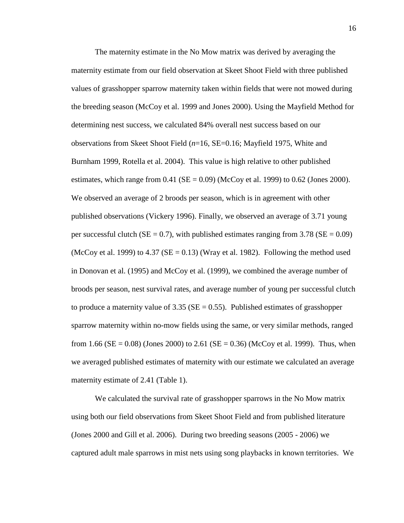The maternity estimate in the No Mow matrix was derived by averaging the maternity estimate from our field observation at Skeet Shoot Field with three published values of grasshopper sparrow maternity taken within fields that were not mowed during the breeding season (McCoy et al. 1999 and Jones 2000). Using the Mayfield Method for determining nest success, we calculated 84% overall nest success based on our observations from Skeet Shoot Field (*n*=16, SE=0.16; Mayfield 1975, White and Burnham 1999, Rotella et al. 2004). This value is high relative to other published estimates, which range from  $0.41$  (SE = 0.09) (McCoy et al. 1999) to 0.62 (Jones 2000). We observed an average of 2 broods per season, which is in agreement with other published observations (Vickery 1996). Finally, we observed an average of 3.71 young per successful clutch ( $SE = 0.7$ ), with published estimates ranging from 3.78 ( $SE = 0.09$ ) (McCoy et al. 1999) to 4.37 ( $SE = 0.13$ ) (Wray et al. 1982). Following the method used in Donovan et al. (1995) and McCoy et al. (1999), we combined the average number of broods per season, nest survival rates, and average number of young per successful clutch to produce a maternity value of  $3.35$  (SE = 0.55). Published estimates of grasshopper sparrow maternity within no-mow fields using the same, or very similar methods, ranged from 1.66 ( $SE = 0.08$ ) (Jones 2000) to 2.61 ( $SE = 0.36$ ) (McCoy et al. 1999). Thus, when we averaged published estimates of maternity with our estimate we calculated an average maternity estimate of 2.41 (Table 1).

 We calculated the survival rate of grasshopper sparrows in the No Mow matrix using both our field observations from Skeet Shoot Field and from published literature (Jones 2000 and Gill et al. 2006). During two breeding seasons (2005 - 2006) we captured adult male sparrows in mist nets using song playbacks in known territories. We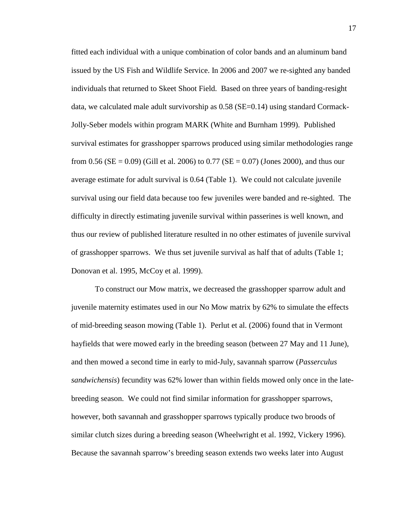fitted each individual with a unique combination of color bands and an aluminum band issued by the US Fish and Wildlife Service. In 2006 and 2007 we re-sighted any banded individuals that returned to Skeet Shoot Field. Based on three years of banding-resight data, we calculated male adult survivorship as 0.58 (SE=0.14) using standard Cormack-Jolly-Seber models within program MARK (White and Burnham 1999). Published survival estimates for grasshopper sparrows produced using similar methodologies range from 0.56 ( $SE = 0.09$ ) (Gill et al. 2006) to 0.77 ( $SE = 0.07$ ) (Jones 2000), and thus our average estimate for adult survival is 0.64 (Table 1). We could not calculate juvenile survival using our field data because too few juveniles were banded and re-sighted. The difficulty in directly estimating juvenile survival within passerines is well known, and thus our review of published literature resulted in no other estimates of juvenile survival of grasshopper sparrows. We thus set juvenile survival as half that of adults (Table 1; Donovan et al. 1995, McCoy et al. 1999).

 To construct our Mow matrix, we decreased the grasshopper sparrow adult and juvenile maternity estimates used in our No Mow matrix by 62% to simulate the effects of mid-breeding season mowing (Table 1). Perlut et al. (2006) found that in Vermont hayfields that were mowed early in the breeding season (between 27 May and 11 June), and then mowed a second time in early to mid-July, savannah sparrow (*Passerculus sandwichensis*) fecundity was 62% lower than within fields mowed only once in the latebreeding season. We could not find similar information for grasshopper sparrows, however, both savannah and grasshopper sparrows typically produce two broods of similar clutch sizes during a breeding season (Wheelwright et al. 1992, Vickery 1996). Because the savannah sparrow's breeding season extends two weeks later into August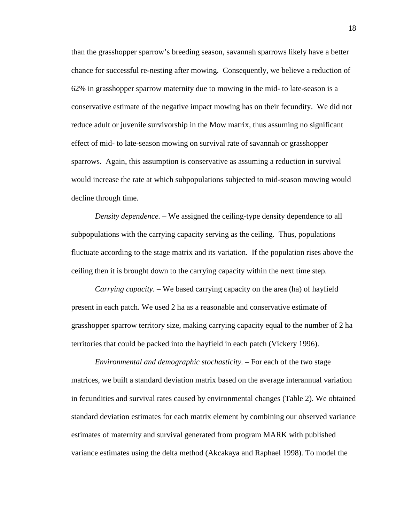than the grasshopper sparrow's breeding season, savannah sparrows likely have a better chance for successful re-nesting after mowing. Consequently, we believe a reduction of 62% in grasshopper sparrow maternity due to mowing in the mid- to late-season is a conservative estimate of the negative impact mowing has on their fecundity. We did not reduce adult or juvenile survivorship in the Mow matrix, thus assuming no significant effect of mid- to late-season mowing on survival rate of savannah or grasshopper sparrows. Again, this assumption is conservative as assuming a reduction in survival would increase the rate at which subpopulations subjected to mid-season mowing would decline through time.

*Density dependence. –* We assigned the ceiling-type density dependence to all subpopulations with the carrying capacity serving as the ceiling. Thus, populations fluctuate according to the stage matrix and its variation. If the population rises above the ceiling then it is brought down to the carrying capacity within the next time step.

*Carrying capacity*. – We based carrying capacity on the area (ha) of hayfield present in each patch. We used 2 ha as a reasonable and conservative estimate of grasshopper sparrow territory size, making carrying capacity equal to the number of 2 ha territories that could be packed into the hayfield in each patch (Vickery 1996).

*Environmental and demographic stochasticity.* – For each of the two stage matrices, we built a standard deviation matrix based on the average interannual variation in fecundities and survival rates caused by environmental changes (Table 2). We obtained standard deviation estimates for each matrix element by combining our observed variance estimates of maternity and survival generated from program MARK with published variance estimates using the delta method (Akcakaya and Raphael 1998). To model the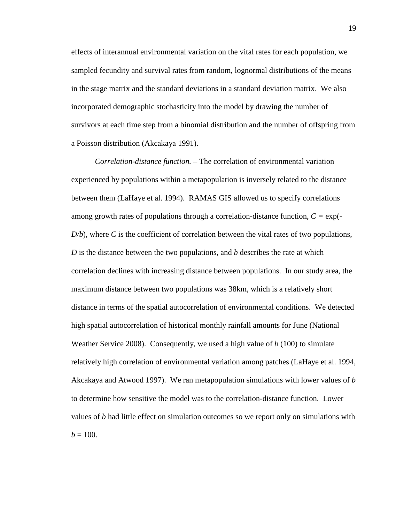effects of interannual environmental variation on the vital rates for each population, we sampled fecundity and survival rates from random, lognormal distributions of the means in the stage matrix and the standard deviations in a standard deviation matrix. We also incorporated demographic stochasticity into the model by drawing the number of survivors at each time step from a binomial distribution and the number of offspring from a Poisson distribution (Akcakaya 1991).

*Correlation-distance function. –* The correlation of environmental variation experienced by populations within a metapopulation is inversely related to the distance between them (LaHaye et al. 1994). RAMAS GIS allowed us to specify correlations among growth rates of populations through a correlation-distance function, *C =* exp(*-*  $D/b$ , where *C* is the coefficient of correlation between the vital rates of two populations, *D* is the distance between the two populations, and *b* describes the rate at which correlation declines with increasing distance between populations. In our study area, the maximum distance between two populations was 38km, which is a relatively short distance in terms of the spatial autocorrelation of environmental conditions. We detected high spatial autocorrelation of historical monthly rainfall amounts for June (National Weather Service 2008). Consequently, we used a high value of *b* (100) to simulate relatively high correlation of environmental variation among patches (LaHaye et al. 1994, Akcakaya and Atwood 1997). We ran metapopulation simulations with lower values of *b* to determine how sensitive the model was to the correlation-distance function. Lower values of *b* had little effect on simulation outcomes so we report only on simulations with  $b = 100$ .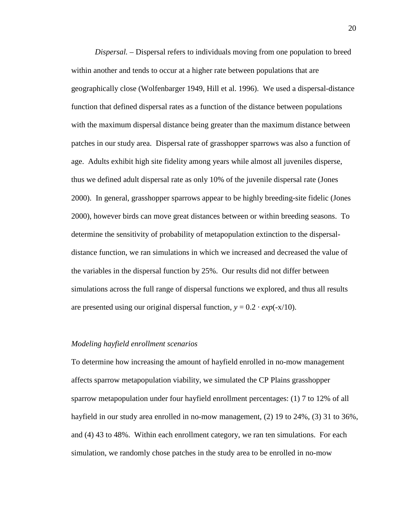*Dispersal. –* Dispersal refers to individuals moving from one population to breed within another and tends to occur at a higher rate between populations that are geographically close (Wolfenbarger 1949, Hill et al. 1996). We used a dispersal-distance function that defined dispersal rates as a function of the distance between populations with the maximum dispersal distance being greater than the maximum distance between patches in our study area. Dispersal rate of grasshopper sparrows was also a function of age. Adults exhibit high site fidelity among years while almost all juveniles disperse, thus we defined adult dispersal rate as only 10% of the juvenile dispersal rate (Jones 2000). In general, grasshopper sparrows appear to be highly breeding-site fidelic (Jones 2000), however birds can move great distances between or within breeding seasons. To determine the sensitivity of probability of metapopulation extinction to the dispersaldistance function, we ran simulations in which we increased and decreased the value of the variables in the dispersal function by 25%. Our results did not differ between simulations across the full range of dispersal functions we explored, and thus all results are presented using our original dispersal function,  $y = 0.2 \cdot exp(-x/10)$ .

#### *Modeling hayfield enrollment scenarios*

To determine how increasing the amount of hayfield enrolled in no-mow management affects sparrow metapopulation viability, we simulated the CP Plains grasshopper sparrow metapopulation under four hayfield enrollment percentages: (1) 7 to 12% of all hayfield in our study area enrolled in no-mow management, (2) 19 to 24%, (3) 31 to 36%, and (4) 43 to 48%. Within each enrollment category, we ran ten simulations. For each simulation, we randomly chose patches in the study area to be enrolled in no-mow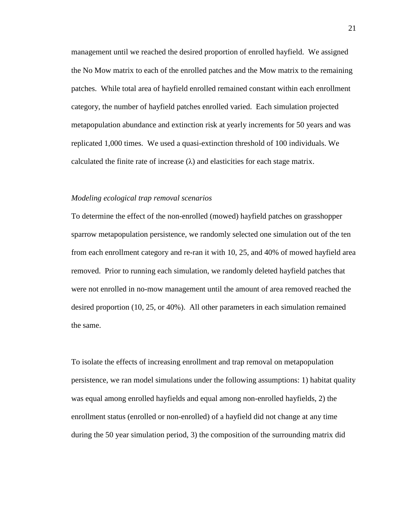management until we reached the desired proportion of enrolled hayfield. We assigned the No Mow matrix to each of the enrolled patches and the Mow matrix to the remaining patches. While total area of hayfield enrolled remained constant within each enrollment category, the number of hayfield patches enrolled varied. Each simulation projected metapopulation abundance and extinction risk at yearly increments for 50 years and was replicated 1,000 times. We used a quasi-extinction threshold of 100 individuals. We calculated the finite rate of increase  $(\lambda)$  and elasticities for each stage matrix.

#### *Modeling ecological trap removal scenarios*

To determine the effect of the non-enrolled (mowed) hayfield patches on grasshopper sparrow metapopulation persistence, we randomly selected one simulation out of the ten from each enrollment category and re-ran it with 10, 25, and 40% of mowed hayfield area removed. Prior to running each simulation, we randomly deleted hayfield patches that were not enrolled in no-mow management until the amount of area removed reached the desired proportion (10, 25, or 40%). All other parameters in each simulation remained the same.

To isolate the effects of increasing enrollment and trap removal on metapopulation persistence, we ran model simulations under the following assumptions: 1) habitat quality was equal among enrolled hayfields and equal among non-enrolled hayfields, 2) the enrollment status (enrolled or non-enrolled) of a hayfield did not change at any time during the 50 year simulation period, 3) the composition of the surrounding matrix did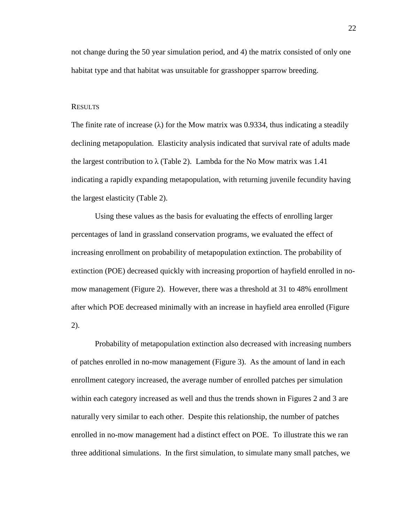not change during the 50 year simulation period, and 4) the matrix consisted of only one habitat type and that habitat was unsuitable for grasshopper sparrow breeding.

#### RESULTS

The finite rate of increase  $(\lambda)$  for the Mow matrix was 0.9334, thus indicating a steadily declining metapopulation. Elasticity analysis indicated that survival rate of adults made the largest contribution to  $\lambda$  (Table 2). Lambda for the No Mow matrix was 1.41 indicating a rapidly expanding metapopulation, with returning juvenile fecundity having the largest elasticity (Table 2).

 Using these values as the basis for evaluating the effects of enrolling larger percentages of land in grassland conservation programs, we evaluated the effect of increasing enrollment on probability of metapopulation extinction. The probability of extinction (POE) decreased quickly with increasing proportion of hayfield enrolled in nomow management (Figure 2). However, there was a threshold at 31 to 48% enrollment after which POE decreased minimally with an increase in hayfield area enrolled (Figure 2).

 Probability of metapopulation extinction also decreased with increasing numbers of patches enrolled in no-mow management (Figure 3). As the amount of land in each enrollment category increased, the average number of enrolled patches per simulation within each category increased as well and thus the trends shown in Figures 2 and 3 are naturally very similar to each other. Despite this relationship, the number of patches enrolled in no-mow management had a distinct effect on POE. To illustrate this we ran three additional simulations. In the first simulation, to simulate many small patches, we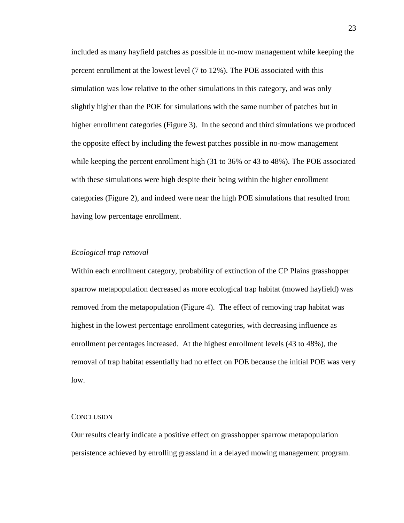included as many hayfield patches as possible in no-mow management while keeping the percent enrollment at the lowest level (7 to 12%). The POE associated with this simulation was low relative to the other simulations in this category, and was only slightly higher than the POE for simulations with the same number of patches but in higher enrollment categories (Figure 3). In the second and third simulations we produced the opposite effect by including the fewest patches possible in no-mow management while keeping the percent enrollment high (31 to 36% or 43 to 48%). The POE associated with these simulations were high despite their being within the higher enrollment categories (Figure 2), and indeed were near the high POE simulations that resulted from having low percentage enrollment.

#### *Ecological trap removal*

Within each enrollment category, probability of extinction of the CP Plains grasshopper sparrow metapopulation decreased as more ecological trap habitat (mowed hayfield) was removed from the metapopulation (Figure 4). The effect of removing trap habitat was highest in the lowest percentage enrollment categories, with decreasing influence as enrollment percentages increased. At the highest enrollment levels (43 to 48%), the removal of trap habitat essentially had no effect on POE because the initial POE was very low.

#### **CONCLUSION**

Our results clearly indicate a positive effect on grasshopper sparrow metapopulation persistence achieved by enrolling grassland in a delayed mowing management program.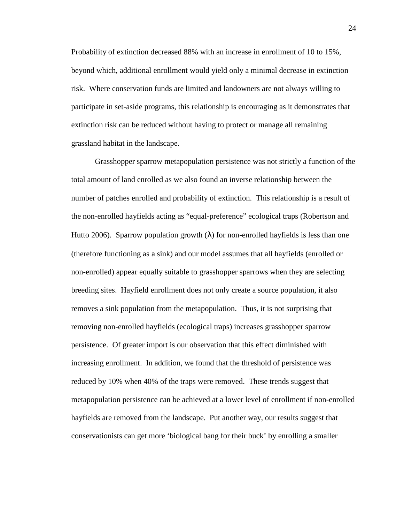Probability of extinction decreased 88% with an increase in enrollment of 10 to 15%, beyond which, additional enrollment would yield only a minimal decrease in extinction risk. Where conservation funds are limited and landowners are not always willing to participate in set-aside programs, this relationship is encouraging as it demonstrates that extinction risk can be reduced without having to protect or manage all remaining grassland habitat in the landscape.

 Grasshopper sparrow metapopulation persistence was not strictly a function of the total amount of land enrolled as we also found an inverse relationship between the number of patches enrolled and probability of extinction. This relationship is a result of the non-enrolled hayfields acting as "equal-preference" ecological traps (Robertson and Hutto 2006). Sparrow population growth  $(\lambda)$  for non-enrolled hayfields is less than one (therefore functioning as a sink) and our model assumes that all hayfields (enrolled or non-enrolled) appear equally suitable to grasshopper sparrows when they are selecting breeding sites. Hayfield enrollment does not only create a source population, it also removes a sink population from the metapopulation. Thus, it is not surprising that removing non-enrolled hayfields (ecological traps) increases grasshopper sparrow persistence. Of greater import is our observation that this effect diminished with increasing enrollment. In addition, we found that the threshold of persistence was reduced by 10% when 40% of the traps were removed. These trends suggest that metapopulation persistence can be achieved at a lower level of enrollment if non-enrolled hayfields are removed from the landscape. Put another way, our results suggest that conservationists can get more 'biological bang for their buck' by enrolling a smaller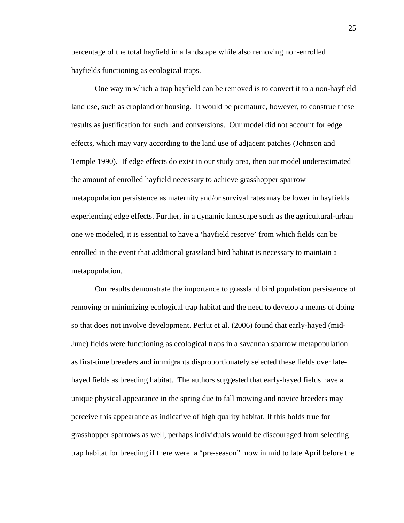percentage of the total hayfield in a landscape while also removing non-enrolled hayfields functioning as ecological traps.

 One way in which a trap hayfield can be removed is to convert it to a non-hayfield land use, such as cropland or housing. It would be premature, however, to construe these results as justification for such land conversions. Our model did not account for edge effects, which may vary according to the land use of adjacent patches (Johnson and Temple 1990). If edge effects do exist in our study area, then our model underestimated the amount of enrolled hayfield necessary to achieve grasshopper sparrow metapopulation persistence as maternity and/or survival rates may be lower in hayfields experiencing edge effects. Further, in a dynamic landscape such as the agricultural-urban one we modeled, it is essential to have a 'hayfield reserve' from which fields can be enrolled in the event that additional grassland bird habitat is necessary to maintain a metapopulation.

 Our results demonstrate the importance to grassland bird population persistence of removing or minimizing ecological trap habitat and the need to develop a means of doing so that does not involve development. Perlut et al. (2006) found that early-hayed (mid-June) fields were functioning as ecological traps in a savannah sparrow metapopulation as first-time breeders and immigrants disproportionately selected these fields over latehayed fields as breeding habitat. The authors suggested that early-hayed fields have a unique physical appearance in the spring due to fall mowing and novice breeders may perceive this appearance as indicative of high quality habitat. If this holds true for grasshopper sparrows as well, perhaps individuals would be discouraged from selecting trap habitat for breeding if there were a "pre-season" mow in mid to late April before the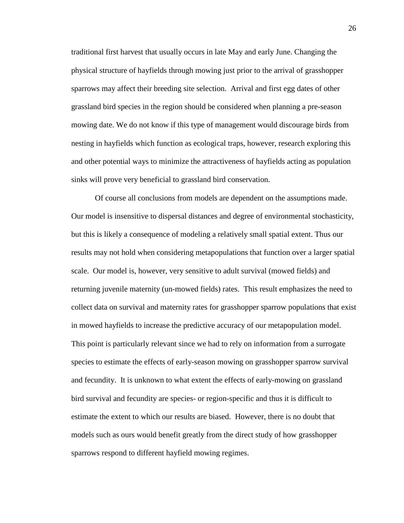traditional first harvest that usually occurs in late May and early June. Changing the physical structure of hayfields through mowing just prior to the arrival of grasshopper sparrows may affect their breeding site selection. Arrival and first egg dates of other grassland bird species in the region should be considered when planning a pre-season mowing date. We do not know if this type of management would discourage birds from nesting in hayfields which function as ecological traps, however, research exploring this and other potential ways to minimize the attractiveness of hayfields acting as population sinks will prove very beneficial to grassland bird conservation.

 Of course all conclusions from models are dependent on the assumptions made. Our model is insensitive to dispersal distances and degree of environmental stochasticity, but this is likely a consequence of modeling a relatively small spatial extent. Thus our results may not hold when considering metapopulations that function over a larger spatial scale. Our model is, however, very sensitive to adult survival (mowed fields) and returning juvenile maternity (un-mowed fields) rates. This result emphasizes the need to collect data on survival and maternity rates for grasshopper sparrow populations that exist in mowed hayfields to increase the predictive accuracy of our metapopulation model. This point is particularly relevant since we had to rely on information from a surrogate species to estimate the effects of early-season mowing on grasshopper sparrow survival and fecundity. It is unknown to what extent the effects of early-mowing on grassland bird survival and fecundity are species- or region-specific and thus it is difficult to estimate the extent to which our results are biased. However, there is no doubt that models such as ours would benefit greatly from the direct study of how grasshopper sparrows respond to different hayfield mowing regimes.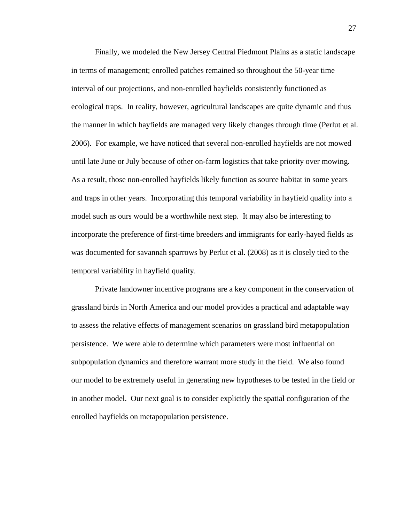Finally, we modeled the New Jersey Central Piedmont Plains as a static landscape in terms of management; enrolled patches remained so throughout the 50-year time interval of our projections, and non-enrolled hayfields consistently functioned as ecological traps. In reality, however, agricultural landscapes are quite dynamic and thus the manner in which hayfields are managed very likely changes through time (Perlut et al. 2006). For example, we have noticed that several non-enrolled hayfields are not mowed until late June or July because of other on-farm logistics that take priority over mowing. As a result, those non-enrolled hayfields likely function as source habitat in some years and traps in other years. Incorporating this temporal variability in hayfield quality into a model such as ours would be a worthwhile next step. It may also be interesting to incorporate the preference of first-time breeders and immigrants for early-hayed fields as was documented for savannah sparrows by Perlut et al. (2008) as it is closely tied to the temporal variability in hayfield quality.

 Private landowner incentive programs are a key component in the conservation of grassland birds in North America and our model provides a practical and adaptable way to assess the relative effects of management scenarios on grassland bird metapopulation persistence. We were able to determine which parameters were most influential on subpopulation dynamics and therefore warrant more study in the field. We also found our model to be extremely useful in generating new hypotheses to be tested in the field or in another model. Our next goal is to consider explicitly the spatial configuration of the enrolled hayfields on metapopulation persistence.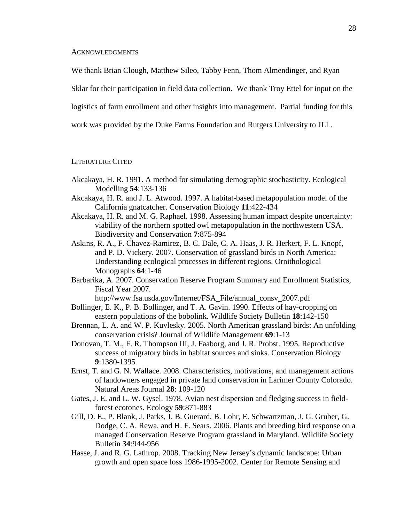#### **ACKNOWLEDGMENTS**

We thank Brian Clough, Matthew Sileo, Tabby Fenn, Thom Almendinger, and Ryan

Sklar for their participation in field data collection. We thank Troy Ettel for input on the

logistics of farm enrollment and other insights into management. Partial funding for this

work was provided by the Duke Farms Foundation and Rutgers University to JLL.

#### LITERATURE CITED

- Akcakaya, H. R. 1991. A method for simulating demographic stochasticity. Ecological Modelling **54**:133-136
- Akcakaya, H. R. and J. L. Atwood. 1997. A habitat-based metapopulation model of the California gnatcatcher. Conservation Biology **11**:422-434
- Akcakaya, H. R. and M. G. Raphael. 1998. Assessing human impact despite uncertainty: viability of the northern spotted owl metapopulation in the northwestern USA. Biodiversity and Conservation **7**:875-894
- Askins, R. A., F. Chavez-Ramirez, B. C. Dale, C. A. Haas, J. R. Herkert, F. L. Knopf, and P. D. Vickery. 2007. Conservation of grassland birds in North America: Understanding ecological processes in different regions. Ornithological Monographs **64**:1-46
- Barbarika, A. 2007. Conservation Reserve Program Summary and Enrollment Statistics, Fiscal Year 2007.

http://www.fsa.usda.gov/Internet/FSA\_File/annual\_consv\_2007.pdf

- Bollinger, E. K., P. B. Bollinger, and T. A. Gavin. 1990. Effects of hay-cropping on eastern populations of the bobolink. Wildlife Society Bulletin **18**:142-150
- Brennan, L. A. and W. P. Kuvlesky. 2005. North American grassland birds: An unfolding conservation crisis? Journal of Wildlife Management **69**:1-13
- Donovan, T. M., F. R. Thompson III, J. Faaborg, and J. R. Probst. 1995. Reproductive success of migratory birds in habitat sources and sinks. Conservation Biology **9**:1380-1395
- Ernst, T. and G. N. Wallace. 2008. Characteristics, motivations, and management actions of landowners engaged in private land conservation in Larimer County Colorado. Natural Areas Journal **28**: 109-120
- Gates, J. E. and L. W. Gysel. 1978. Avian nest dispersion and fledging success in fieldforest ecotones. Ecology **59**:871-883
- Gill, D. E., P. Blank, J. Parks, J. B. Guerard, B. Lohr, E. Schwartzman, J. G. Gruber, G. Dodge, C. A. Rewa, and H. F. Sears. 2006. Plants and breeding bird response on a managed Conservation Reserve Program grassland in Maryland. Wildlife Society Bulletin **34**:944-956
- Hasse, J. and R. G. Lathrop. 2008. Tracking New Jersey's dynamic landscape: Urban growth and open space loss 1986-1995-2002. Center for Remote Sensing and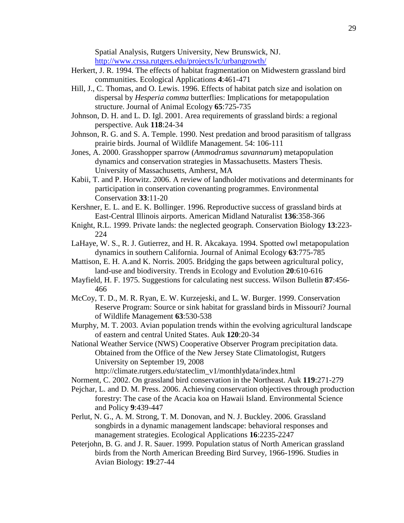Spatial Analysis, Rutgers University, New Brunswick, NJ. http://www.crssa.rutgers.edu/projects/lc/urbangrowth/

- Herkert, J. R. 1994. The effects of habitat fragmentation on Midwestern grassland bird communities. Ecological Applications **4**:461-471
- Hill, J., C. Thomas, and O. Lewis. 1996. Effects of habitat patch size and isolation on dispersal by *Hesperia comma* butterflies: Implications for metapopulation structure. Journal of Animal Ecology **65**:725-735
- Johnson, D. H. and L. D. Igl. 2001. Area requirements of grassland birds: a regional perspective. Auk **118**:24-34
- Johnson, R. G. and S. A. Temple. 1990. Nest predation and brood parasitism of tallgrass prairie birds. Journal of Wildlife Management. 54: 106-111
- Jones, A. 2000. Grasshopper sparrow (*Ammodramus savannarum*) metapopulation dynamics and conservation strategies in Massachusetts. Masters Thesis. University of Massachusetts, Amherst, MA
- Kabii, T. and P. Horwitz. 2006. A review of landholder motivations and determinants for participation in conservation covenanting programmes. Environmental Conservation **33**:11-20
- Kershner, E. L. and E. K. Bollinger. 1996. Reproductive success of grassland birds at East-Central Illinois airports. American Midland Naturalist **136**:358-366
- Knight, R.L. 1999. Private lands: the neglected geograph. Conservation Biology **13**:223- 224
- LaHaye, W. S., R. J. Gutierrez, and H. R. Akcakaya. 1994. Spotted owl metapopulation dynamics in southern California. Journal of Animal Ecology **63**:775-785
- Mattison, E. H. A.and K. Norris. 2005. Bridging the gaps between agricultural policy, land-use and biodiversity. Trends in Ecology and Evolution **20**:610-616
- Mayfield, H. F. 1975. Suggestions for calculating nest success. Wilson Bulletin **87**:456- 466
- McCoy, T. D., M. R. Ryan, E. W. Kurzejeski, and L. W. Burger. 1999. Conservation Reserve Program: Source or sink habitat for grassland birds in Missouri? Journal of Wildlife Management **63**:530-538
- Murphy, M. T. 2003. Avian population trends within the evolving agricultural landscape of eastern and central United States. Auk **120**:20-34
- National Weather Service (NWS) Cooperative Observer Program precipitation data. Obtained from the Office of the New Jersey State Climatologist, Rutgers University on September 19, 2008

http://climate.rutgers.edu/stateclim\_v1/monthlydata/index.html

- Norment, C. 2002. On grassland bird conservation in the Northeast. Auk **119**:271-279
- Pejchar, L. and D. M. Press. 2006. Achieving conservation objectives through production forestry: The case of the Acacia koa on Hawaii Island. Environmental Science and Policy **9**:439-447
- Perlut, N. G., A. M. Strong, T. M. Donovan, and N. J. Buckley. 2006. Grassland songbirds in a dynamic management landscape: behavioral responses and management strategies. Ecological Applications **16**:2235-2247
- Peterjohn, B. G. and J. R. Sauer. 1999. Population status of North American grassland birds from the North American Breeding Bird Survey, 1966-1996. Studies in Avian Biology: **19**:27-44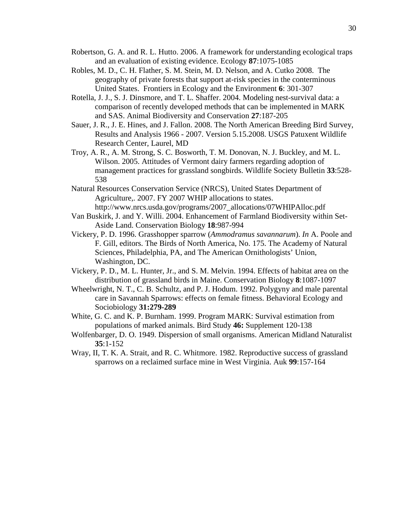- Robertson, G. A. and R. L. Hutto. 2006. A framework for understanding ecological traps and an evaluation of existing evidence. Ecology **87**:1075-1085
- Robles, M. D., C. H. Flather, S. M. Stein, M. D. Nelson, and A. Cutko 2008. The geography of private forests that support at-risk species in the conterminous United States. Frontiers in Ecology and the Environment **6**: 301-307
- Rotella, J. J., S. J. Dinsmore, and T. L. Shaffer. 2004. Modeling nest-survival data: a comparison of recently developed methods that can be implemented in MARK and SAS. Animal Biodiversity and Conservation **27**:187-205
- Sauer, J. R., J. E. Hines, and J. Fallon. 2008. The North American Breeding Bird Survey, Results and Analysis 1966 - 2007. Version 5.15.2008. USGS Patuxent Wildlife Research Center, Laurel, MD
- Troy, A. R., A. M. Strong, S. C. Bosworth, T. M. Donovan, N. J. Buckley, and M. L. Wilson. 2005. Attitudes of Vermont dairy farmers regarding adoption of management practices for grassland songbirds. Wildlife Society Bulletin **33**:528- 538
- Natural Resources Conservation Service (NRCS), United States Department of Agriculture,. 2007. FY 2007 WHIP allocations to states. http://www.nrcs.usda.gov/programs/2007\_allocations/07WHIPAlloc.pdf
- Van Buskirk, J. and Y. Willi. 2004. Enhancement of Farmland Biodiversity within Set-Aside Land. Conservation Biology **18**:987-994
- Vickery, P. D. 1996. Grasshopper sparrow (*Ammodramus savannarum*). *In* A. Poole and F. Gill, editors. The Birds of North America, No. 175. The Academy of Natural Sciences, Philadelphia, PA, and The American Ornithologists' Union, Washington, DC.
- Vickery, P. D., M. L. Hunter, Jr., and S. M. Melvin. 1994. Effects of habitat area on the distribution of grassland birds in Maine. Conservation Biology **8**:1087-1097
- Wheelwright, N. T., C. B. Schultz, and P. J. Hodum. 1992. Polygyny and male parental care in Savannah Sparrows: effects on female fitness. Behavioral Ecology and Sociobiology **31:279-289**
- White, G. C. and K. P. Burnham. 1999. Program MARK: Survival estimation from populations of marked animals. Bird Study **46:** Supplement 120-138
- Wolfenbarger, D. O. 1949. Dispersion of small organisms. American Midland Naturalist **35**:1-152
- Wray, II, T. K. A. Strait, and R. C. Whitmore. 1982. Reproductive success of grassland sparrows on a reclaimed surface mine in West Virginia. Auk **99**:157-164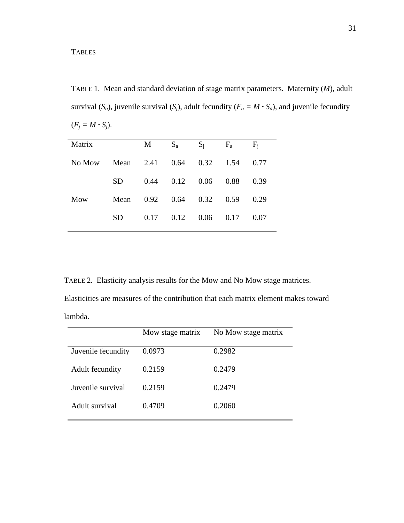TABLE 1. Mean and standard deviation of stage matrix parameters. Maternity (*M*), adult survival  $(S_a)$ , juvenile survival  $(S_j)$ , adult fecundity  $(F_a = M \cdot S_a)$ , and juvenile fecundity  $(F_j = M \cdot S_j).$ 

| Matrix |      | М    | $S_a$ | $S_i$ | $F_a$ | $F_i$ |
|--------|------|------|-------|-------|-------|-------|
| No Mow | Mean | 2.41 | 0.64  | 0.32  | 1.54  | 0.77  |
|        | SD.  | 0.44 | 0.12  | 0.06  | 0.88  | 0.39  |
| Mow    | Mean | 0.92 | 0.64  | 0.32  | 0.59  | 0.29  |
|        | SD   | 0.17 | 0.12  | 0.06  | 0.17  | 0.07  |
|        |      |      |       |       |       |       |

TABLE 2. Elasticity analysis results for the Mow and No Mow stage matrices.

Elasticities are measures of the contribution that each matrix element makes toward lambda.

|                    | Mow stage matrix | No Mow stage matrix |
|--------------------|------------------|---------------------|
| Juvenile fecundity | 0.0973           | 0.2982              |
| Adult fecundity    | 0.2159           | 0.2479              |
| Juvenile survival  | 0.2159           | 0.2479              |
| Adult survival     | 0.4709           | 0.2060              |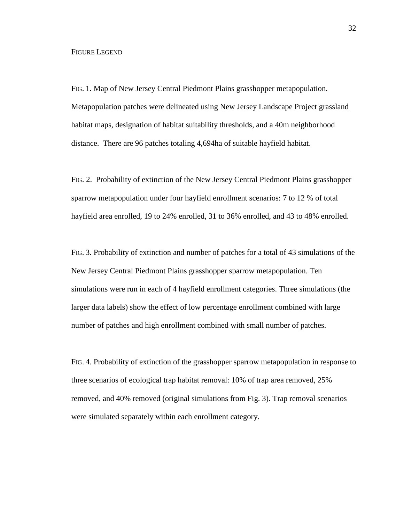#### FIGURE LEGEND

FIG. 1. Map of New Jersey Central Piedmont Plains grasshopper metapopulation. Metapopulation patches were delineated using New Jersey Landscape Project grassland habitat maps, designation of habitat suitability thresholds, and a 40m neighborhood distance. There are 96 patches totaling 4,694ha of suitable hayfield habitat.

FIG. 2. Probability of extinction of the New Jersey Central Piedmont Plains grasshopper sparrow metapopulation under four hayfield enrollment scenarios: 7 to 12 % of total hayfield area enrolled, 19 to 24% enrolled, 31 to 36% enrolled, and 43 to 48% enrolled.

FIG. 3. Probability of extinction and number of patches for a total of 43 simulations of the New Jersey Central Piedmont Plains grasshopper sparrow metapopulation. Ten simulations were run in each of 4 hayfield enrollment categories. Three simulations (the larger data labels) show the effect of low percentage enrollment combined with large number of patches and high enrollment combined with small number of patches.

FIG. 4. Probability of extinction of the grasshopper sparrow metapopulation in response to three scenarios of ecological trap habitat removal: 10% of trap area removed, 25% removed, and 40% removed (original simulations from Fig. 3). Trap removal scenarios were simulated separately within each enrollment category.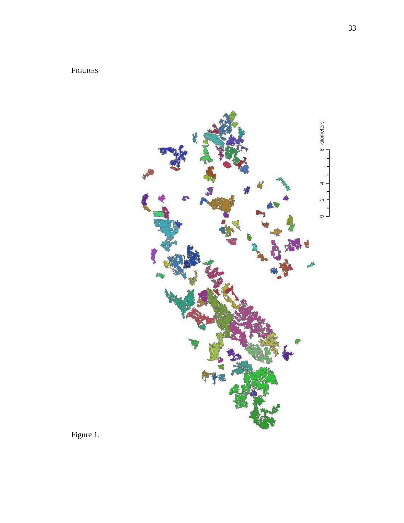# FIGURES



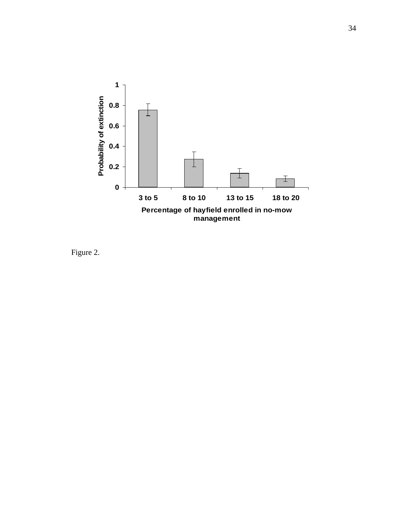

Figure 2.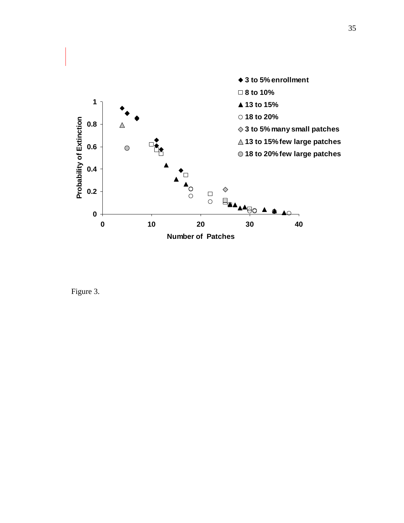

Figure 3.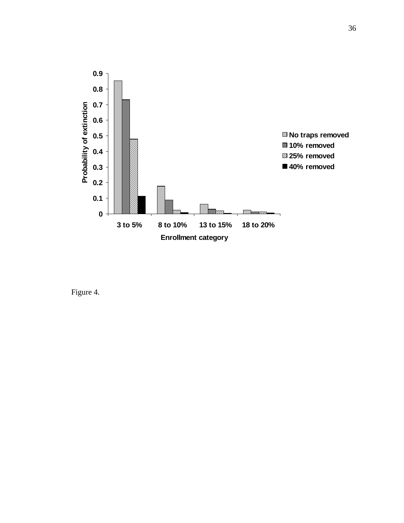

Figure 4.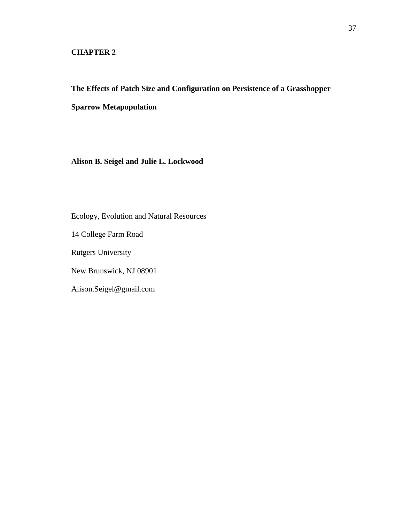## **CHAPTER 2**

# **The Effects of Patch Size and Configuration on Persistence of a Grasshopper Sparrow Metapopulation**

**Alison B. Seigel and Julie L. Lockwood** 

Ecology, Evolution and Natural Resources

14 College Farm Road

Rutgers University

New Brunswick, NJ 08901

Alison.Seigel@gmail.com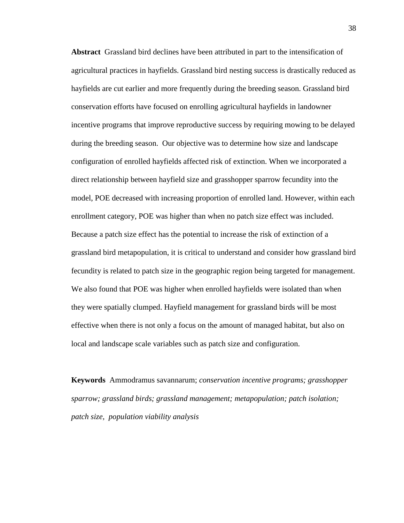**Abstract** Grassland bird declines have been attributed in part to the intensification of agricultural practices in hayfields. Grassland bird nesting success is drastically reduced as hayfields are cut earlier and more frequently during the breeding season. Grassland bird conservation efforts have focused on enrolling agricultural hayfields in landowner incentive programs that improve reproductive success by requiring mowing to be delayed during the breeding season. Our objective was to determine how size and landscape configuration of enrolled hayfields affected risk of extinction. When we incorporated a direct relationship between hayfield size and grasshopper sparrow fecundity into the model, POE decreased with increasing proportion of enrolled land. However, within each enrollment category, POE was higher than when no patch size effect was included. Because a patch size effect has the potential to increase the risk of extinction of a grassland bird metapopulation, it is critical to understand and consider how grassland bird fecundity is related to patch size in the geographic region being targeted for management. We also found that POE was higher when enrolled hayfields were isolated than when they were spatially clumped. Hayfield management for grassland birds will be most effective when there is not only a focus on the amount of managed habitat, but also on local and landscape scale variables such as patch size and configuration.

**Keywords** Ammodramus savannarum; *conservation incentive programs; grasshopper sparrow; grassland birds; grassland management; metapopulation; patch isolation; patch size, population viability analysis*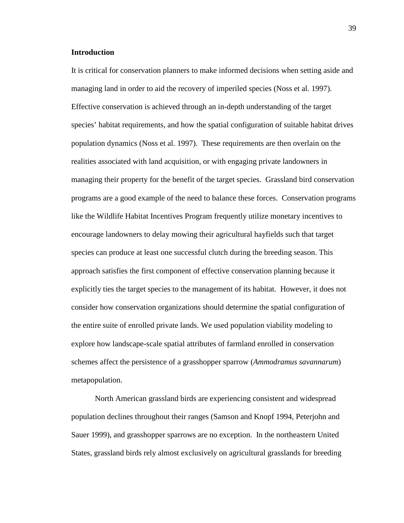#### **Introduction**

It is critical for conservation planners to make informed decisions when setting aside and managing land in order to aid the recovery of imperiled species (Noss et al. 1997). Effective conservation is achieved through an in-depth understanding of the target species' habitat requirements, and how the spatial configuration of suitable habitat drives population dynamics (Noss et al. 1997). These requirements are then overlain on the realities associated with land acquisition, or with engaging private landowners in managing their property for the benefit of the target species. Grassland bird conservation programs are a good example of the need to balance these forces. Conservation programs like the Wildlife Habitat Incentives Program frequently utilize monetary incentives to encourage landowners to delay mowing their agricultural hayfields such that target species can produce at least one successful clutch during the breeding season. This approach satisfies the first component of effective conservation planning because it explicitly ties the target species to the management of its habitat. However, it does not consider how conservation organizations should determine the spatial configuration of the entire suite of enrolled private lands. We used population viability modeling to explore how landscape-scale spatial attributes of farmland enrolled in conservation schemes affect the persistence of a grasshopper sparrow (*Ammodramus savannarum*) metapopulation.

 North American grassland birds are experiencing consistent and widespread population declines throughout their ranges (Samson and Knopf 1994, Peterjohn and Sauer 1999), and grasshopper sparrows are no exception. In the northeastern United States, grassland birds rely almost exclusively on agricultural grasslands for breeding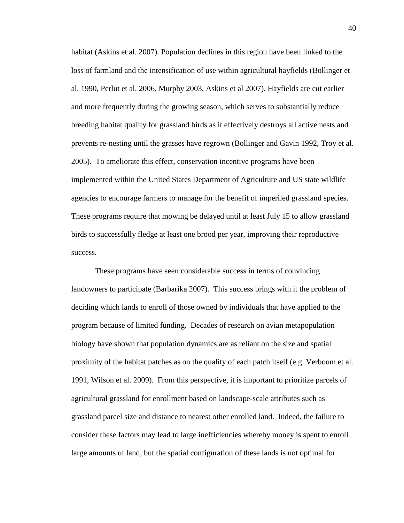habitat (Askins et al. 2007). Population declines in this region have been linked to the loss of farmland and the intensification of use within agricultural hayfields (Bollinger et al. 1990, Perlut et al. 2006, Murphy 2003, Askins et al 2007). Hayfields are cut earlier and more frequently during the growing season, which serves to substantially reduce breeding habitat quality for grassland birds as it effectively destroys all active nests and prevents re-nesting until the grasses have regrown (Bollinger and Gavin 1992, Troy et al. 2005). To ameliorate this effect, conservation incentive programs have been implemented within the United States Department of Agriculture and US state wildlife agencies to encourage farmers to manage for the benefit of imperiled grassland species. These programs require that mowing be delayed until at least July 15 to allow grassland birds to successfully fledge at least one brood per year, improving their reproductive success.

 These programs have seen considerable success in terms of convincing landowners to participate (Barbarika 2007). This success brings with it the problem of deciding which lands to enroll of those owned by individuals that have applied to the program because of limited funding. Decades of research on avian metapopulation biology have shown that population dynamics are as reliant on the size and spatial proximity of the habitat patches as on the quality of each patch itself (e.g. Verboom et al. 1991, Wilson et al. 2009). From this perspective, it is important to prioritize parcels of agricultural grassland for enrollment based on landscape-scale attributes such as grassland parcel size and distance to nearest other enrolled land. Indeed, the failure to consider these factors may lead to large inefficiencies whereby money is spent to enroll large amounts of land, but the spatial configuration of these lands is not optimal for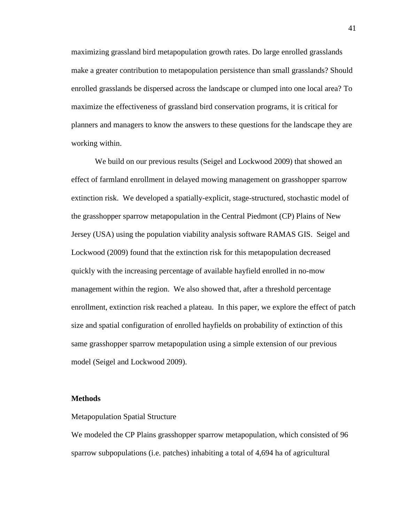maximizing grassland bird metapopulation growth rates. Do large enrolled grasslands make a greater contribution to metapopulation persistence than small grasslands? Should enrolled grasslands be dispersed across the landscape or clumped into one local area? To maximize the effectiveness of grassland bird conservation programs, it is critical for planners and managers to know the answers to these questions for the landscape they are working within.

 We build on our previous results (Seigel and Lockwood 2009) that showed an effect of farmland enrollment in delayed mowing management on grasshopper sparrow extinction risk. We developed a spatially-explicit, stage-structured, stochastic model of the grasshopper sparrow metapopulation in the Central Piedmont (CP) Plains of New Jersey (USA) using the population viability analysis software RAMAS GIS. Seigel and Lockwood (2009) found that the extinction risk for this metapopulation decreased quickly with the increasing percentage of available hayfield enrolled in no-mow management within the region. We also showed that, after a threshold percentage enrollment, extinction risk reached a plateau. In this paper, we explore the effect of patch size and spatial configuration of enrolled hayfields on probability of extinction of this same grasshopper sparrow metapopulation using a simple extension of our previous model (Seigel and Lockwood 2009).

#### **Methods**

#### Metapopulation Spatial Structure

We modeled the CP Plains grasshopper sparrow metapopulation, which consisted of 96 sparrow subpopulations (i.e. patches) inhabiting a total of 4,694 ha of agricultural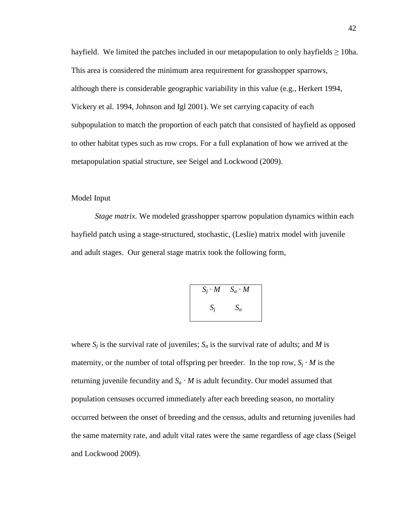hayfield. We limited the patches included in our metapopulation to only hayfields  $\geq$  10ha. This area is considered the minimum area requirement for grasshopper sparrows, although there is considerable geographic variability in this value (e.g., Herkert 1994, Vickery et al. 1994, Johnson and Igl 2001). We set carrying capacity of each subpopulation to match the proportion of each patch that consisted of hayfield as opposed to other habitat types such as row crops. For a full explanation of how we arrived at the metapopulation spatial structure, see Seigel and Lockwood (2009).

#### Model Input

 *Stage matrix.* We modeled grasshopper sparrow population dynamics within each hayfield patch using a stage-structured, stochastic, (Leslie) matrix model with juvenile and adult stages. Our general stage matrix took the following form,

$$
S_j \cdot M \qquad S_a \cdot M
$$

$$
S_j \qquad S_a
$$

where  $S_j$  is the survival rate of juveniles;  $S_a$  is the survival rate of adults; and *M* is maternity, or the number of total offspring per breeder. In the top row,  $S_j \cdot M$  is the returning juvenile fecundity and  $S_a \cdot M$  is adult fecundity. Our model assumed that population censuses occurred immediately after each breeding season, no mortality occurred between the onset of breeding and the census, adults and returning juveniles had the same maternity rate, and adult vital rates were the same regardless of age class (Seigel and Lockwood 2009).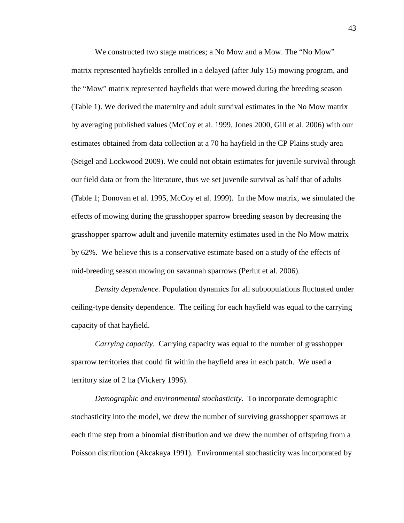We constructed two stage matrices; a No Mow and a Mow. The "No Mow" matrix represented hayfields enrolled in a delayed (after July 15) mowing program, and the "Mow" matrix represented hayfields that were mowed during the breeding season (Table 1). We derived the maternity and adult survival estimates in the No Mow matrix by averaging published values (McCoy et al. 1999, Jones 2000, Gill et al. 2006) with our estimates obtained from data collection at a 70 ha hayfield in the CP Plains study area (Seigel and Lockwood 2009). We could not obtain estimates for juvenile survival through our field data or from the literature, thus we set juvenile survival as half that of adults (Table 1; Donovan et al. 1995, McCoy et al. 1999). In the Mow matrix, we simulated the effects of mowing during the grasshopper sparrow breeding season by decreasing the grasshopper sparrow adult and juvenile maternity estimates used in the No Mow matrix by 62%. We believe this is a conservative estimate based on a study of the effects of mid-breeding season mowing on savannah sparrows (Perlut et al. 2006).

*Density dependence.* Population dynamics for all subpopulations fluctuated under ceiling-type density dependence. The ceiling for each hayfield was equal to the carrying capacity of that hayfield.

*Carrying capacity*. Carrying capacity was equal to the number of grasshopper sparrow territories that could fit within the hayfield area in each patch. We used a territory size of 2 ha (Vickery 1996).

*Demographic and environmental stochasticity.* To incorporate demographic stochasticity into the model, we drew the number of surviving grasshopper sparrows at each time step from a binomial distribution and we drew the number of offspring from a Poisson distribution (Akcakaya 1991). Environmental stochasticity was incorporated by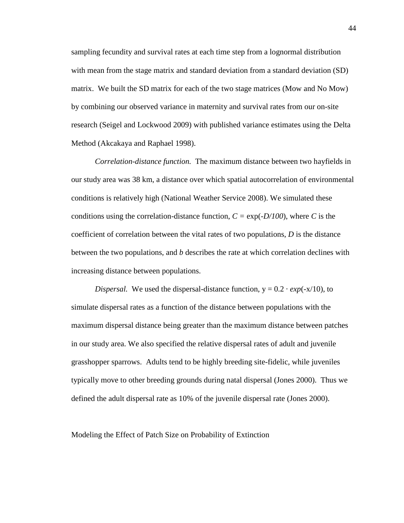sampling fecundity and survival rates at each time step from a lognormal distribution with mean from the stage matrix and standard deviation from a standard deviation (SD) matrix. We built the SD matrix for each of the two stage matrices (Mow and No Mow) by combining our observed variance in maternity and survival rates from our on-site research (Seigel and Lockwood 2009) with published variance estimates using the Delta Method (Akcakaya and Raphael 1998).

*Correlation-distance function.* The maximum distance between two hayfields in our study area was 38 km, a distance over which spatial autocorrelation of environmental conditions is relatively high (National Weather Service 2008). We simulated these conditions using the correlation-distance function,  $C = \exp(-D/100)$ , where *C* is the coefficient of correlation between the vital rates of two populations, *D* is the distance between the two populations, and *b* describes the rate at which correlation declines with increasing distance between populations.

*Dispersal.* We used the dispersal-distance function,  $y = 0.2 \cdot exp(-x/10)$ , to simulate dispersal rates as a function of the distance between populations with the maximum dispersal distance being greater than the maximum distance between patches in our study area. We also specified the relative dispersal rates of adult and juvenile grasshopper sparrows. Adults tend to be highly breeding site-fidelic, while juveniles typically move to other breeding grounds during natal dispersal (Jones 2000). Thus we defined the adult dispersal rate as 10% of the juvenile dispersal rate (Jones 2000).

Modeling the Effect of Patch Size on Probability of Extinction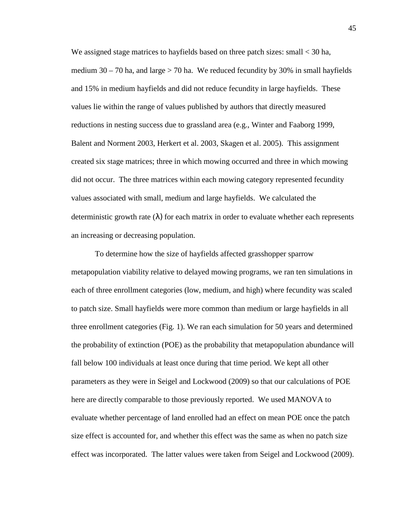We assigned stage matrices to hayfields based on three patch sizes: small < 30 ha, medium  $30 - 70$  ha, and large  $> 70$  ha. We reduced fecundity by 30% in small hayfields and 15% in medium hayfields and did not reduce fecundity in large hayfields. These values lie within the range of values published by authors that directly measured reductions in nesting success due to grassland area (e.g., Winter and Faaborg 1999, Balent and Norment 2003, Herkert et al. 2003, Skagen et al. 2005). This assignment created six stage matrices; three in which mowing occurred and three in which mowing did not occur. The three matrices within each mowing category represented fecundity values associated with small, medium and large hayfields. We calculated the deterministic growth rate  $(\lambda)$  for each matrix in order to evaluate whether each represents an increasing or decreasing population.

 To determine how the size of hayfields affected grasshopper sparrow metapopulation viability relative to delayed mowing programs, we ran ten simulations in each of three enrollment categories (low, medium, and high) where fecundity was scaled to patch size. Small hayfields were more common than medium or large hayfields in all three enrollment categories (Fig. 1). We ran each simulation for 50 years and determined the probability of extinction (POE) as the probability that metapopulation abundance will fall below 100 individuals at least once during that time period. We kept all other parameters as they were in Seigel and Lockwood (2009) so that our calculations of POE here are directly comparable to those previously reported. We used MANOVA to evaluate whether percentage of land enrolled had an effect on mean POE once the patch size effect is accounted for, and whether this effect was the same as when no patch size effect was incorporated. The latter values were taken from Seigel and Lockwood (2009).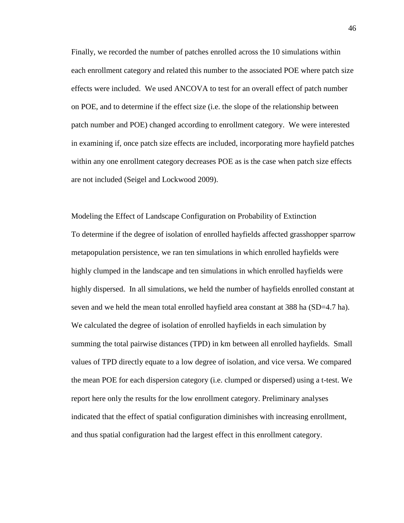Finally, we recorded the number of patches enrolled across the 10 simulations within each enrollment category and related this number to the associated POE where patch size effects were included. We used ANCOVA to test for an overall effect of patch number on POE, and to determine if the effect size (i.e. the slope of the relationship between patch number and POE) changed according to enrollment category. We were interested in examining if, once patch size effects are included, incorporating more hayfield patches within any one enrollment category decreases POE as is the case when patch size effects are not included (Seigel and Lockwood 2009).

Modeling the Effect of Landscape Configuration on Probability of Extinction To determine if the degree of isolation of enrolled hayfields affected grasshopper sparrow metapopulation persistence, we ran ten simulations in which enrolled hayfields were highly clumped in the landscape and ten simulations in which enrolled hayfields were highly dispersed. In all simulations, we held the number of hayfields enrolled constant at seven and we held the mean total enrolled hayfield area constant at 388 ha (SD=4.7 ha). We calculated the degree of isolation of enrolled hayfields in each simulation by summing the total pairwise distances (TPD) in km between all enrolled hayfields. Small values of TPD directly equate to a low degree of isolation, and vice versa. We compared the mean POE for each dispersion category (i.e. clumped or dispersed) using a t-test. We report here only the results for the low enrollment category. Preliminary analyses indicated that the effect of spatial configuration diminishes with increasing enrollment, and thus spatial configuration had the largest effect in this enrollment category.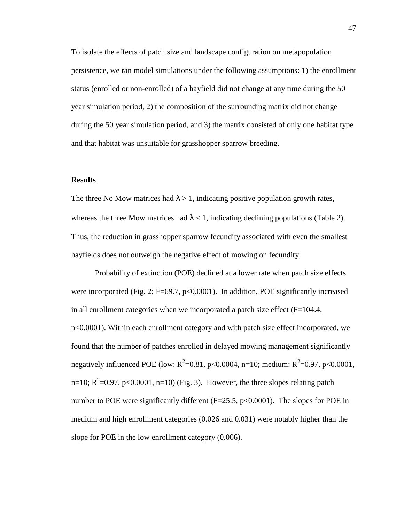To isolate the effects of patch size and landscape configuration on metapopulation persistence, we ran model simulations under the following assumptions: 1) the enrollment status (enrolled or non-enrolled) of a hayfield did not change at any time during the 50 year simulation period, 2) the composition of the surrounding matrix did not change during the 50 year simulation period, and 3) the matrix consisted of only one habitat type and that habitat was unsuitable for grasshopper sparrow breeding.

#### **Results**

The three No Mow matrices had  $\lambda > 1$ , indicating positive population growth rates, whereas the three Mow matrices had  $\lambda < 1$ , indicating declining populations (Table 2). Thus, the reduction in grasshopper sparrow fecundity associated with even the smallest hayfields does not outweigh the negative effect of mowing on fecundity.

 Probability of extinction (POE) declined at a lower rate when patch size effects were incorporated (Fig. 2; F=69.7,  $p<0.0001$ ). In addition, POE significantly increased in all enrollment categories when we incorporated a patch size effect  $(F=104.4,$ p<0.0001). Within each enrollment category and with patch size effect incorporated, we found that the number of patches enrolled in delayed mowing management significantly negatively influenced POE (low:  $R^2$ =0.81, p<0.0004, n=10; medium:  $R^2$ =0.97, p<0.0001, n=10;  $R^2$ =0.97, p<0.0001, n=10) (Fig. 3). However, the three slopes relating patch number to POE were significantly different  $(F=25.5, p<0.0001)$ . The slopes for POE in medium and high enrollment categories (0.026 and 0.031) were notably higher than the slope for POE in the low enrollment category (0.006).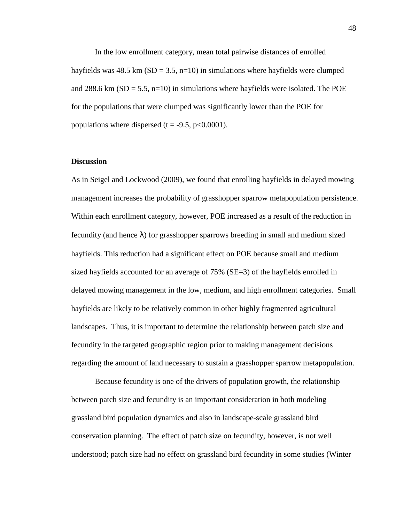In the low enrollment category, mean total pairwise distances of enrolled hayfields was 48.5 km ( $SD = 3.5$ , n=10) in simulations where hayfields were clumped and 288.6 km ( $SD = 5.5$ , n=10) in simulations where hayfields were isolated. The POE for the populations that were clumped was significantly lower than the POE for populations where dispersed (t =  $-9.5$ , p $< 0.0001$ ).

#### **Discussion**

As in Seigel and Lockwood (2009), we found that enrolling hayfields in delayed mowing management increases the probability of grasshopper sparrow metapopulation persistence. Within each enrollment category, however, POE increased as a result of the reduction in fecundity (and hence  $\lambda$ ) for grasshopper sparrows breeding in small and medium sized hayfields. This reduction had a significant effect on POE because small and medium sized hayfields accounted for an average of 75% (SE=3) of the hayfields enrolled in delayed mowing management in the low, medium, and high enrollment categories. Small hayfields are likely to be relatively common in other highly fragmented agricultural landscapes. Thus, it is important to determine the relationship between patch size and fecundity in the targeted geographic region prior to making management decisions regarding the amount of land necessary to sustain a grasshopper sparrow metapopulation.

 Because fecundity is one of the drivers of population growth, the relationship between patch size and fecundity is an important consideration in both modeling grassland bird population dynamics and also in landscape-scale grassland bird conservation planning. The effect of patch size on fecundity, however, is not well understood; patch size had no effect on grassland bird fecundity in some studies (Winter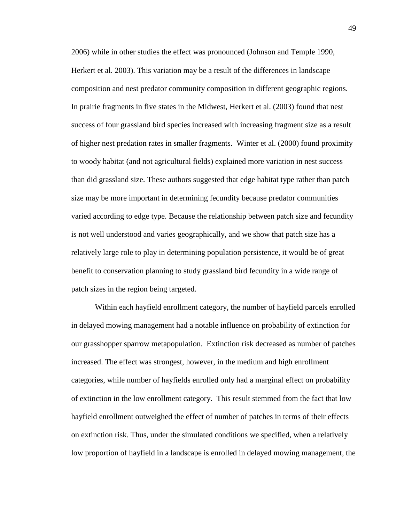2006) while in other studies the effect was pronounced (Johnson and Temple 1990, Herkert et al. 2003). This variation may be a result of the differences in landscape composition and nest predator community composition in different geographic regions. In prairie fragments in five states in the Midwest, Herkert et al. (2003) found that nest success of four grassland bird species increased with increasing fragment size as a result of higher nest predation rates in smaller fragments. Winter et al. (2000) found proximity to woody habitat (and not agricultural fields) explained more variation in nest success than did grassland size. These authors suggested that edge habitat type rather than patch size may be more important in determining fecundity because predator communities varied according to edge type. Because the relationship between patch size and fecundity is not well understood and varies geographically, and we show that patch size has a relatively large role to play in determining population persistence, it would be of great benefit to conservation planning to study grassland bird fecundity in a wide range of patch sizes in the region being targeted.

 Within each hayfield enrollment category, the number of hayfield parcels enrolled in delayed mowing management had a notable influence on probability of extinction for our grasshopper sparrow metapopulation. Extinction risk decreased as number of patches increased. The effect was strongest, however, in the medium and high enrollment categories, while number of hayfields enrolled only had a marginal effect on probability of extinction in the low enrollment category. This result stemmed from the fact that low hayfield enrollment outweighed the effect of number of patches in terms of their effects on extinction risk. Thus, under the simulated conditions we specified, when a relatively low proportion of hayfield in a landscape is enrolled in delayed mowing management, the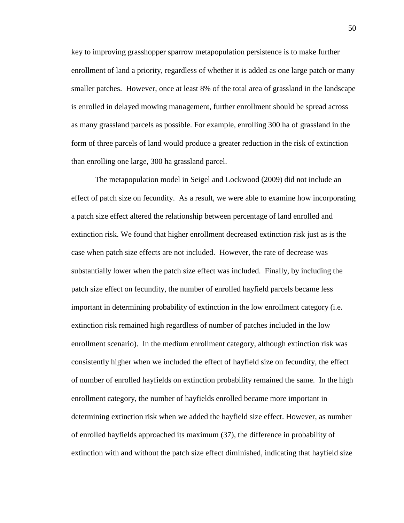key to improving grasshopper sparrow metapopulation persistence is to make further enrollment of land a priority, regardless of whether it is added as one large patch or many smaller patches. However, once at least 8% of the total area of grassland in the landscape is enrolled in delayed mowing management, further enrollment should be spread across as many grassland parcels as possible. For example, enrolling 300 ha of grassland in the form of three parcels of land would produce a greater reduction in the risk of extinction than enrolling one large, 300 ha grassland parcel.

 The metapopulation model in Seigel and Lockwood (2009) did not include an effect of patch size on fecundity. As a result, we were able to examine how incorporating a patch size effect altered the relationship between percentage of land enrolled and extinction risk. We found that higher enrollment decreased extinction risk just as is the case when patch size effects are not included. However, the rate of decrease was substantially lower when the patch size effect was included. Finally, by including the patch size effect on fecundity, the number of enrolled hayfield parcels became less important in determining probability of extinction in the low enrollment category (i.e. extinction risk remained high regardless of number of patches included in the low enrollment scenario). In the medium enrollment category, although extinction risk was consistently higher when we included the effect of hayfield size on fecundity, the effect of number of enrolled hayfields on extinction probability remained the same. In the high enrollment category, the number of hayfields enrolled became more important in determining extinction risk when we added the hayfield size effect. However, as number of enrolled hayfields approached its maximum (37), the difference in probability of extinction with and without the patch size effect diminished, indicating that hayfield size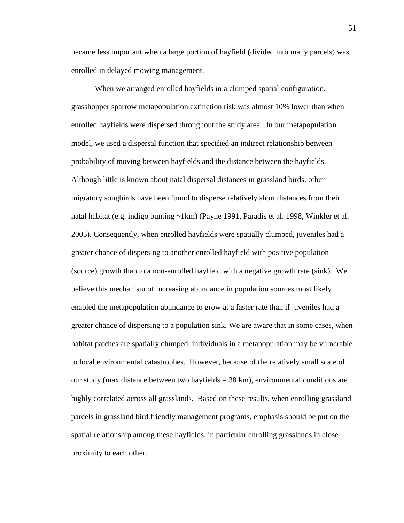became less important when a large portion of hayfield (divided into many parcels) was enrolled in delayed mowing management.

 When we arranged enrolled hayfields in a clumped spatial configuration, grasshopper sparrow metapopulation extinction risk was almost 10% lower than when enrolled hayfields were dispersed throughout the study area. In our metapopulation model, we used a dispersal function that specified an indirect relationship between probability of moving between hayfields and the distance between the hayfields. Although little is known about natal dispersal distances in grassland birds, other migratory songbirds have been found to disperse relatively short distances from their natal habitat (e.g. indigo bunting ~1km) (Payne 1991, Paradis et al. 1998, Winkler et al. 2005). Consequently, when enrolled hayfields were spatially clumped, juveniles had a greater chance of dispersing to another enrolled hayfield with positive population (source) growth than to a non-enrolled hayfield with a negative growth rate (sink). We believe this mechanism of increasing abundance in population sources most likely enabled the metapopulation abundance to grow at a faster rate than if juveniles had a greater chance of dispersing to a population sink. We are aware that in some cases, when habitat patches are spatially clumped, individuals in a metapopulation may be vulnerable to local environmental catastrophes. However, because of the relatively small scale of our study (max distance between two hayfields = 38 km), environmental conditions are highly correlated across all grasslands. Based on these results, when enrolling grassland parcels in grassland bird friendly management programs, emphasis should be put on the spatial relationship among these hayfields, in particular enrolling grasslands in close proximity to each other.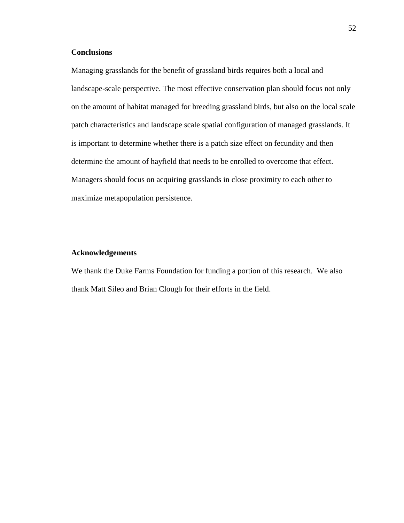### **Conclusions**

Managing grasslands for the benefit of grassland birds requires both a local and landscape-scale perspective. The most effective conservation plan should focus not only on the amount of habitat managed for breeding grassland birds, but also on the local scale patch characteristics and landscape scale spatial configuration of managed grasslands. It is important to determine whether there is a patch size effect on fecundity and then determine the amount of hayfield that needs to be enrolled to overcome that effect. Managers should focus on acquiring grasslands in close proximity to each other to maximize metapopulation persistence.

#### **Acknowledgements**

We thank the Duke Farms Foundation for funding a portion of this research. We also thank Matt Sileo and Brian Clough for their efforts in the field.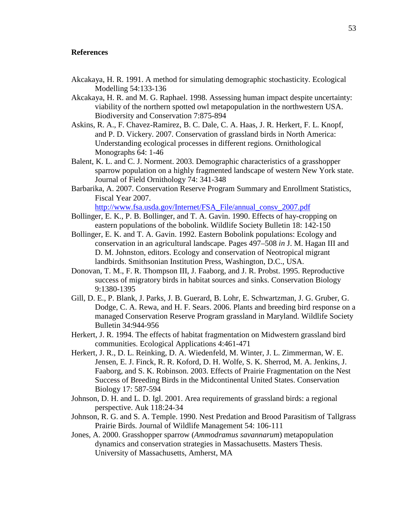#### **References**

- Akcakaya, H. R. 1991. A method for simulating demographic stochasticity. Ecological Modelling 54:133-136
- Akcakaya, H. R. and M. G. Raphael. 1998. Assessing human impact despite uncertainty: viability of the northern spotted owl metapopulation in the northwestern USA. Biodiversity and Conservation 7:875-894
- Askins, R. A., F. Chavez-Ramirez, B. C. Dale, C. A. Haas, J. R. Herkert, F. L. Knopf, and P. D. Vickery. 2007. Conservation of grassland birds in North America: Understanding ecological processes in different regions. Ornithological Monographs 64: 1-46
- Balent, K. L. and C. J. Norment. 2003. Demographic characteristics of a grasshopper sparrow population on a highly fragmented landscape of western New York state. Journal of Field Ornithology 74: 341-348
- Barbarika, A. 2007. Conservation Reserve Program Summary and Enrollment Statistics, Fiscal Year 2007.

http://www.fsa.usda.gov/Internet/FSA\_File/annual\_consv\_2007.pdf

- Bollinger, E. K., P. B. Bollinger, and T. A. Gavin. 1990. Effects of hay-cropping on eastern populations of the bobolink. Wildlife Society Bulletin 18: 142-150
- Bollinger, E. K. and T. A. Gavin. 1992. Eastern Bobolink populations: Ecology and conservation in an agricultural landscape. Pages 497–508 *in* J. M. Hagan III and D. M. Johnston, editors. Ecology and conservation of Neotropical migrant landbirds. Smithsonian Institution Press, Washington, D.C., USA.
- Donovan, T. M., F. R. Thompson III, J. Faaborg, and J. R. Probst. 1995. Reproductive success of migratory birds in habitat sources and sinks. Conservation Biology 9:1380-1395
- Gill, D. E., P. Blank, J. Parks, J. B. Guerard, B. Lohr, E. Schwartzman, J. G. Gruber, G. Dodge, C. A. Rewa, and H. F. Sears. 2006. Plants and breeding bird response on a managed Conservation Reserve Program grassland in Maryland. Wildlife Society Bulletin 34:944-956
- Herkert, J. R. 1994. The effects of habitat fragmentation on Midwestern grassland bird communities. Ecological Applications 4:461-471
- Herkert, J. R., D. L. Reinking, D. A. Wiedenfeld, M. Winter, J. L. Zimmerman, W. E. Jensen, E. J. Finck, R. R. Koford, D. H. Wolfe, S. K. Sherrod, M. A. Jenkins, J. Faaborg, and S. K. Robinson. 2003. Effects of Prairie Fragmentation on the Nest Success of Breeding Birds in the Midcontinental United States. Conservation Biology 17: 587-594
- Johnson, D. H. and L. D. Igl. 2001. Area requirements of grassland birds: a regional perspective. Auk 118:24-34
- Johnson, R. G. and S. A. Temple. 1990. Nest Predation and Brood Parasitism of Tallgrass Prairie Birds. Journal of Wildlife Management 54: 106-111
- Jones, A. 2000. Grasshopper sparrow (*Ammodramus savannarum*) metapopulation dynamics and conservation strategies in Massachusetts. Masters Thesis. University of Massachusetts, Amherst, MA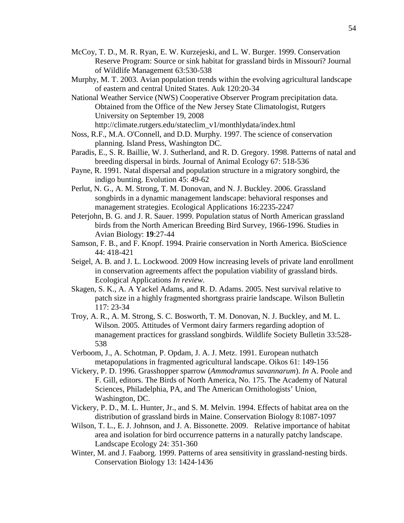- McCoy, T. D., M. R. Ryan, E. W. Kurzejeski, and L. W. Burger. 1999. Conservation Reserve Program: Source or sink habitat for grassland birds in Missouri? Journal of Wildlife Management 63:530-538
- Murphy, M. T. 2003. Avian population trends within the evolving agricultural landscape of eastern and central United States. Auk 120:20-34
- National Weather Service (NWS) Cooperative Observer Program precipitation data. Obtained from the Office of the New Jersey State Climatologist, Rutgers University on September 19, 2008 http://climate.rutgers.edu/stateclim\_v1/monthlydata/index.html
- Noss, R.F., M.A. O'Connell, and D.D. Murphy. 1997. The science of conservation planning. Island Press, Washington DC.
- Paradis, E., S. R. Baillie, W. J. Sutherland, and R. D. Gregory. 1998. Patterns of natal and breeding dispersal in birds. Journal of Animal Ecology 67: 518-536
- Payne, R. 1991. Natal dispersal and population structure in a migratory songbird, the indigo bunting. Evolution 45: 49-62
- Perlut, N. G., A. M. Strong, T. M. Donovan, and N. J. Buckley. 2006. Grassland songbirds in a dynamic management landscape: behavioral responses and management strategies. Ecological Applications 16:2235-2247
- Peterjohn, B. G. and J. R. Sauer. 1999. Population status of North American grassland birds from the North American Breeding Bird Survey, 1966-1996. Studies in Avian Biology: **19**:27-44
- Samson, F. B., and F. Knopf. 1994. Prairie conservation in North America. BioScience 44: 418-421
- Seigel, A. B. and J. L. Lockwood. 2009 How increasing levels of private land enrollment in conservation agreements affect the population viability of grassland birds. Ecological Applications *In review.*
- Skagen, S. K., A. A Yackel Adams, and R. D. Adams. 2005. Nest survival relative to patch size in a highly fragmented shortgrass prairie landscape. Wilson Bulletin 117: 23-34
- Troy, A. R., A. M. Strong, S. C. Bosworth, T. M. Donovan, N. J. Buckley, and M. L. Wilson. 2005. Attitudes of Vermont dairy farmers regarding adoption of management practices for grassland songbirds. Wildlife Society Bulletin 33:528- 538
- Verboom, J., A. Schotman, P. Opdam, J. A. J. Metz. 1991. European nuthatch metapopulations in fragmented agricultural landscape. Oikos 61: 149-156
- Vickery, P. D. 1996. Grasshopper sparrow (*Ammodramus savannarum*). *In* A. Poole and F. Gill, editors. The Birds of North America, No. 175. The Academy of Natural Sciences, Philadelphia, PA, and The American Ornithologists' Union, Washington, DC.
- Vickery, P. D., M. L. Hunter, Jr., and S. M. Melvin. 1994. Effects of habitat area on the distribution of grassland birds in Maine. Conservation Biology 8:1087-1097
- Wilson, T. L., E. J. Johnson, and J. A. Bissonette. 2009. Relative importance of habitat area and isolation for bird occurrence patterns in a naturally patchy landscape. Landscape Ecology 24: 351-360
- Winter, M. and J. Faaborg. 1999. Patterns of area sensitivity in grassland-nesting birds. Conservation Biology 13: 1424-1436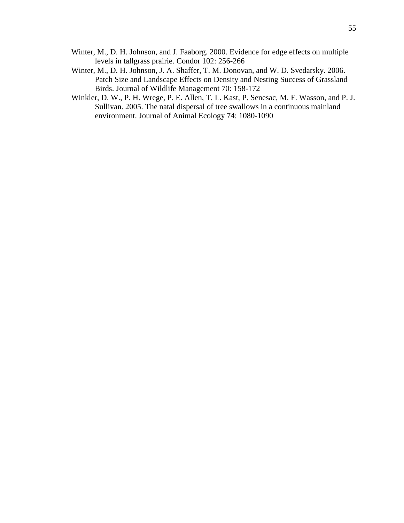- Winter, M., D. H. Johnson, and J. Faaborg. 2000. Evidence for edge effects on multiple levels in tallgrass prairie. Condor 102: 256-266
- Winter, M., D. H. Johnson, J. A. Shaffer, T. M. Donovan, and W. D. Svedarsky. 2006. Patch Size and Landscape Effects on Density and Nesting Success of Grassland Birds. Journal of Wildlife Management 70: 158-172
- Winkler, D. W., P. H. Wrege, P. E. Allen, T. L. Kast, P. Senesac, M. F. Wasson, and P. J. Sullivan. 2005. The natal dispersal of tree swallows in a continuous mainland environment. Journal of Animal Ecology 74: 1080-1090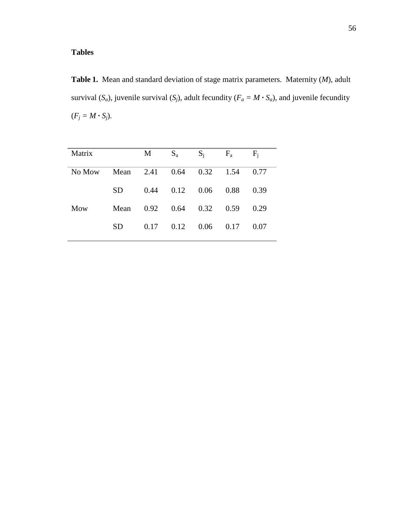# **Tables**

**Table 1.** Mean and standard deviation of stage matrix parameters. Maternity (*M*), adult survival  $(S_a)$ , juvenile survival  $(S_j)$ , adult fecundity  $(F_a = M \cdot S_a)$ , and juvenile fecundity  $(F_j = M \cdot S_j).$ 

| Matrix |      | M    | $S_a$ | $S_i$ | $F_a$ | $F_i$ |
|--------|------|------|-------|-------|-------|-------|
| No Mow | Mean | 2.41 | 0.64  | 0.32  | 1.54  | 0.77  |
|        | SD.  | 0.44 | 0.12  | 0.06  | 0.88  | 0.39  |
| Mow    | Mean | 0.92 | 0.64  | 0.32  | 0.59  | 0.29  |
|        | SD   | 0.17 | 0.12  | 0.06  | 0.17  | 0.07  |
|        |      |      |       |       |       |       |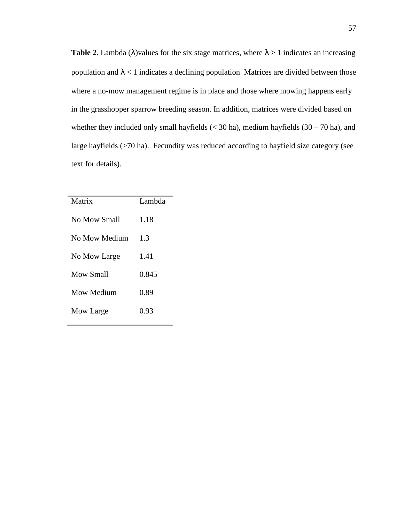**Table 2.** Lambda ( $\lambda$ )values for the six stage matrices, where  $\lambda > 1$  indicates an increasing population and  $\lambda$  < 1 indicates a declining population Matrices are divided between those where a no-mow management regime is in place and those where mowing happens early in the grasshopper sparrow breeding season. In addition, matrices were divided based on whether they included only small hayfields  $(< 30$  ha), medium hayfields  $(30 – 70$  ha), and large hayfields (>70 ha). Fecundity was reduced according to hayfield size category (see text for details).

| Matrix        | Lambda |
|---------------|--------|
| No Mow Small  | 1.18   |
| No Mow Medium | 1.3    |
| No Mow Large  | 1.41   |
| Mow Small     | 0.845  |
| Mow Medium    | 0.89   |
| Mow Large     | 0.93   |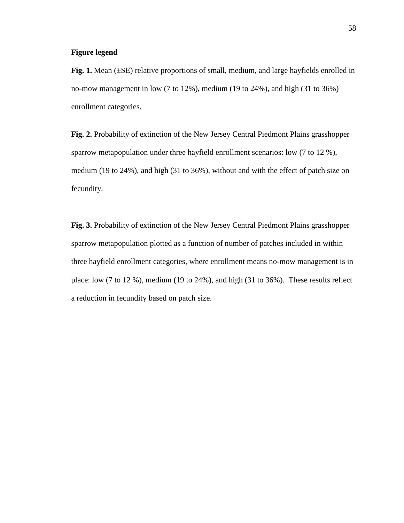#### **Figure legend**

**Fig. 1.** Mean ( $\pm$ SE) relative proportions of small, medium, and large hayfields enrolled in no-mow management in low (7 to 12%), medium (19 to 24%), and high (31 to 36%) enrollment categories.

**Fig. 2.** Probability of extinction of the New Jersey Central Piedmont Plains grasshopper sparrow metapopulation under three hayfield enrollment scenarios: low (7 to 12 %), medium (19 to 24%), and high (31 to 36%), without and with the effect of patch size on fecundity.

**Fig. 3.** Probability of extinction of the New Jersey Central Piedmont Plains grasshopper sparrow metapopulation plotted as a function of number of patches included in within three hayfield enrollment categories, where enrollment means no-mow management is in place: low (7 to 12 %), medium (19 to 24%), and high (31 to 36%). These results reflect a reduction in fecundity based on patch size.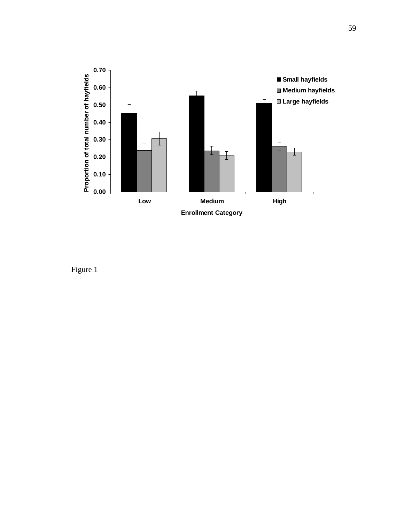

Figure 1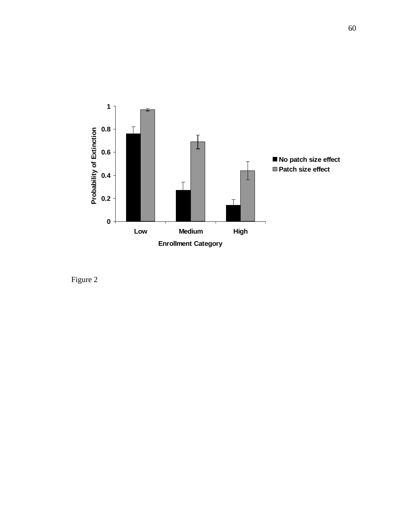

Figure 2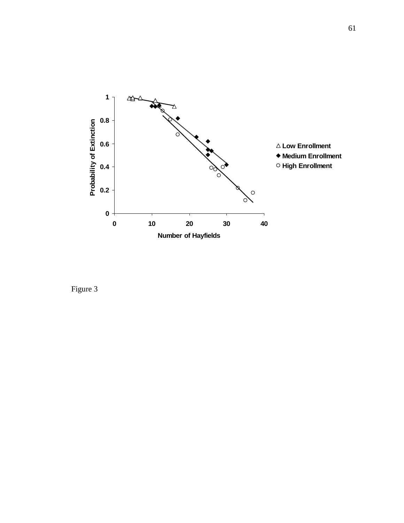

Figure 3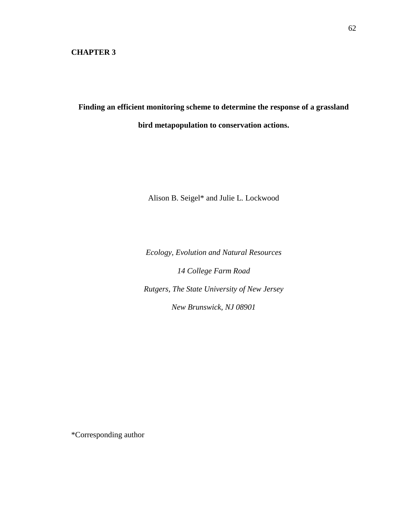### **CHAPTER 3**

**Finding an efficient monitoring scheme to determine the response of a grassland bird metapopulation to conservation actions.** 

Alison B. Seigel\* and Julie L. Lockwood

*Ecology, Evolution and Natural Resources* 

*14 College Farm Road Rutgers, The State University of New Jersey New Brunswick, NJ 08901* 

\*Corresponding author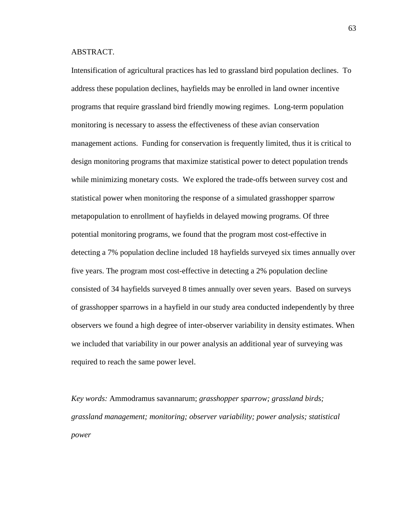## ABSTRACT.

Intensification of agricultural practices has led to grassland bird population declines. To address these population declines, hayfields may be enrolled in land owner incentive programs that require grassland bird friendly mowing regimes. Long-term population monitoring is necessary to assess the effectiveness of these avian conservation management actions. Funding for conservation is frequently limited, thus it is critical to design monitoring programs that maximize statistical power to detect population trends while minimizing monetary costs. We explored the trade-offs between survey cost and statistical power when monitoring the response of a simulated grasshopper sparrow metapopulation to enrollment of hayfields in delayed mowing programs. Of three potential monitoring programs, we found that the program most cost-effective in detecting a 7% population decline included 18 hayfields surveyed six times annually over five years. The program most cost-effective in detecting a 2% population decline consisted of 34 hayfields surveyed 8 times annually over seven years. Based on surveys of grasshopper sparrows in a hayfield in our study area conducted independently by three observers we found a high degree of inter-observer variability in density estimates. When we included that variability in our power analysis an additional year of surveying was required to reach the same power level.

*Key words:* Ammodramus savannarum; *grasshopper sparrow; grassland birds; grassland management; monitoring; observer variability; power analysis; statistical power*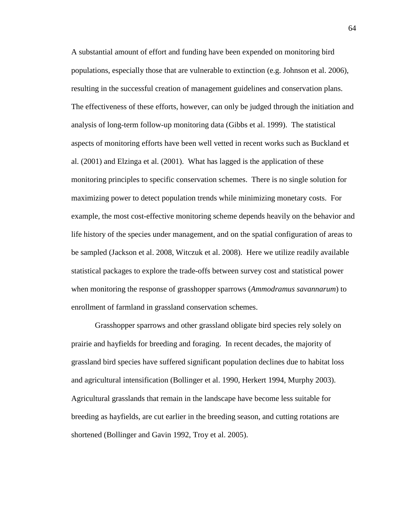A substantial amount of effort and funding have been expended on monitoring bird populations, especially those that are vulnerable to extinction (e.g. Johnson et al. 2006), resulting in the successful creation of management guidelines and conservation plans. The effectiveness of these efforts, however, can only be judged through the initiation and analysis of long-term follow-up monitoring data (Gibbs et al. 1999). The statistical aspects of monitoring efforts have been well vetted in recent works such as Buckland et al. (2001) and Elzinga et al. (2001). What has lagged is the application of these monitoring principles to specific conservation schemes. There is no single solution for maximizing power to detect population trends while minimizing monetary costs. For example, the most cost-effective monitoring scheme depends heavily on the behavior and life history of the species under management, and on the spatial configuration of areas to be sampled (Jackson et al. 2008, Witczuk et al. 2008). Here we utilize readily available statistical packages to explore the trade-offs between survey cost and statistical power when monitoring the response of grasshopper sparrows (*Ammodramus savannarum*) to enrollment of farmland in grassland conservation schemes.

 Grasshopper sparrows and other grassland obligate bird species rely solely on prairie and hayfields for breeding and foraging. In recent decades, the majority of grassland bird species have suffered significant population declines due to habitat loss and agricultural intensification (Bollinger et al. 1990, Herkert 1994, Murphy 2003). Agricultural grasslands that remain in the landscape have become less suitable for breeding as hayfields, are cut earlier in the breeding season, and cutting rotations are shortened (Bollinger and Gavin 1992, Troy et al. 2005).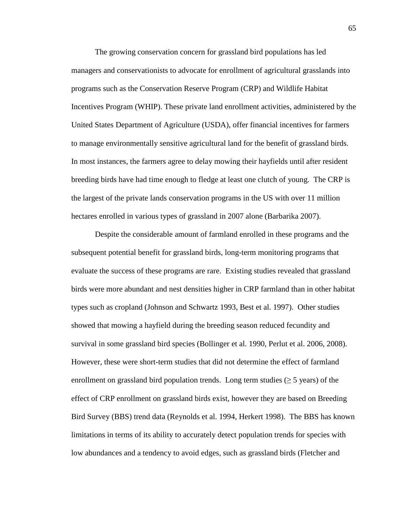The growing conservation concern for grassland bird populations has led managers and conservationists to advocate for enrollment of agricultural grasslands into programs such as the Conservation Reserve Program (CRP) and Wildlife Habitat Incentives Program (WHIP). These private land enrollment activities, administered by the United States Department of Agriculture (USDA), offer financial incentives for farmers to manage environmentally sensitive agricultural land for the benefit of grassland birds. In most instances, the farmers agree to delay mowing their hayfields until after resident breeding birds have had time enough to fledge at least one clutch of young. The CRP is the largest of the private lands conservation programs in the US with over 11 million hectares enrolled in various types of grassland in 2007 alone (Barbarika 2007).

 Despite the considerable amount of farmland enrolled in these programs and the subsequent potential benefit for grassland birds, long-term monitoring programs that evaluate the success of these programs are rare. Existing studies revealed that grassland birds were more abundant and nest densities higher in CRP farmland than in other habitat types such as cropland (Johnson and Schwartz 1993, Best et al. 1997). Other studies showed that mowing a hayfield during the breeding season reduced fecundity and survival in some grassland bird species (Bollinger et al. 1990, Perlut et al. 2006, 2008). However, these were short-term studies that did not determine the effect of farmland enrollment on grassland bird population trends. Long term studies ( $\geq$  5 years) of the effect of CRP enrollment on grassland birds exist, however they are based on Breeding Bird Survey (BBS) trend data (Reynolds et al. 1994, Herkert 1998). The BBS has known limitations in terms of its ability to accurately detect population trends for species with low abundances and a tendency to avoid edges, such as grassland birds (Fletcher and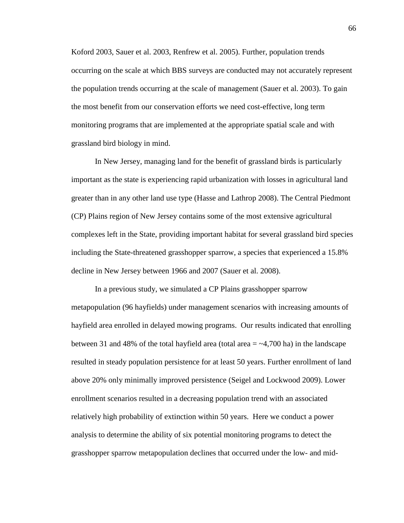Koford 2003, Sauer et al. 2003, Renfrew et al. 2005). Further, population trends occurring on the scale at which BBS surveys are conducted may not accurately represent the population trends occurring at the scale of management (Sauer et al. 2003). To gain the most benefit from our conservation efforts we need cost-effective, long term monitoring programs that are implemented at the appropriate spatial scale and with grassland bird biology in mind.

 In New Jersey, managing land for the benefit of grassland birds is particularly important as the state is experiencing rapid urbanization with losses in agricultural land greater than in any other land use type (Hasse and Lathrop 2008). The Central Piedmont (CP) Plains region of New Jersey contains some of the most extensive agricultural complexes left in the State, providing important habitat for several grassland bird species including the State-threatened grasshopper sparrow, a species that experienced a 15.8% decline in New Jersey between 1966 and 2007 (Sauer et al. 2008).

 In a previous study, we simulated a CP Plains grasshopper sparrow metapopulation (96 hayfields) under management scenarios with increasing amounts of hayfield area enrolled in delayed mowing programs. Our results indicated that enrolling between 31 and 48% of the total hayfield area (total area  $=$  ~4,700 ha) in the landscape resulted in steady population persistence for at least 50 years. Further enrollment of land above 20% only minimally improved persistence (Seigel and Lockwood 2009). Lower enrollment scenarios resulted in a decreasing population trend with an associated relatively high probability of extinction within 50 years. Here we conduct a power analysis to determine the ability of six potential monitoring programs to detect the grasshopper sparrow metapopulation declines that occurred under the low- and mid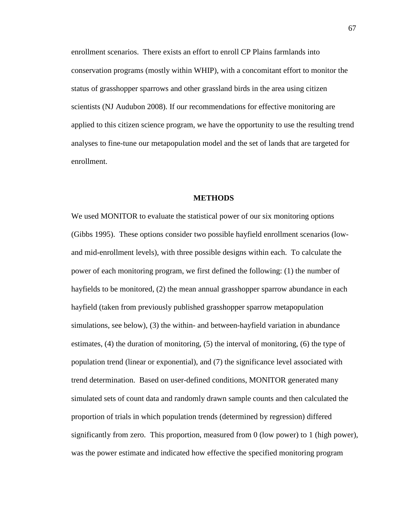enrollment scenarios. There exists an effort to enroll CP Plains farmlands into conservation programs (mostly within WHIP), with a concomitant effort to monitor the status of grasshopper sparrows and other grassland birds in the area using citizen scientists (NJ Audubon 2008). If our recommendations for effective monitoring are applied to this citizen science program, we have the opportunity to use the resulting trend analyses to fine-tune our metapopulation model and the set of lands that are targeted for enrollment.

### **METHODS**

We used MONITOR to evaluate the statistical power of our six monitoring options (Gibbs 1995). These options consider two possible hayfield enrollment scenarios (lowand mid-enrollment levels), with three possible designs within each. To calculate the power of each monitoring program, we first defined the following: (1) the number of hayfields to be monitored, (2) the mean annual grasshopper sparrow abundance in each hayfield (taken from previously published grasshopper sparrow metapopulation simulations, see below), (3) the within- and between-hayfield variation in abundance estimates, (4) the duration of monitoring, (5) the interval of monitoring, (6) the type of population trend (linear or exponential), and (7) the significance level associated with trend determination. Based on user-defined conditions, MONITOR generated many simulated sets of count data and randomly drawn sample counts and then calculated the proportion of trials in which population trends (determined by regression) differed significantly from zero. This proportion, measured from 0 (low power) to 1 (high power), was the power estimate and indicated how effective the specified monitoring program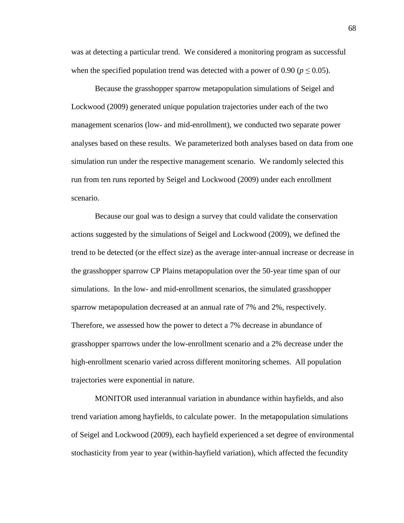was at detecting a particular trend. We considered a monitoring program as successful when the specified population trend was detected with a power of 0.90 ( $p \le 0.05$ ).

 Because the grasshopper sparrow metapopulation simulations of Seigel and Lockwood (2009) generated unique population trajectories under each of the two management scenarios (low- and mid-enrollment), we conducted two separate power analyses based on these results. We parameterized both analyses based on data from one simulation run under the respective management scenario. We randomly selected this run from ten runs reported by Seigel and Lockwood (2009) under each enrollment scenario.

 Because our goal was to design a survey that could validate the conservation actions suggested by the simulations of Seigel and Lockwood (2009), we defined the trend to be detected (or the effect size) as the average inter-annual increase or decrease in the grasshopper sparrow CP Plains metapopulation over the 50-year time span of our simulations. In the low- and mid-enrollment scenarios, the simulated grasshopper sparrow metapopulation decreased at an annual rate of 7% and 2%, respectively. Therefore, we assessed how the power to detect a 7% decrease in abundance of grasshopper sparrows under the low-enrollment scenario and a 2% decrease under the high-enrollment scenario varied across different monitoring schemes. All population trajectories were exponential in nature.

 MONITOR used interannual variation in abundance within hayfields, and also trend variation among hayfields, to calculate power. In the metapopulation simulations of Seigel and Lockwood (2009), each hayfield experienced a set degree of environmental stochasticity from year to year (within-hayfield variation), which affected the fecundity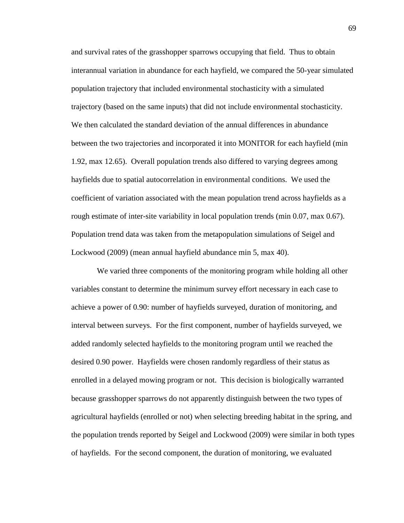and survival rates of the grasshopper sparrows occupying that field. Thus to obtain interannual variation in abundance for each hayfield, we compared the 50-year simulated population trajectory that included environmental stochasticity with a simulated trajectory (based on the same inputs) that did not include environmental stochasticity. We then calculated the standard deviation of the annual differences in abundance between the two trajectories and incorporated it into MONITOR for each hayfield (min 1.92, max 12.65). Overall population trends also differed to varying degrees among hayfields due to spatial autocorrelation in environmental conditions. We used the coefficient of variation associated with the mean population trend across hayfields as a rough estimate of inter-site variability in local population trends (min 0.07, max 0.67). Population trend data was taken from the metapopulation simulations of Seigel and Lockwood (2009) (mean annual hayfield abundance min 5, max 40).

 We varied three components of the monitoring program while holding all other variables constant to determine the minimum survey effort necessary in each case to achieve a power of 0.90: number of hayfields surveyed, duration of monitoring, and interval between surveys. For the first component, number of hayfields surveyed, we added randomly selected hayfields to the monitoring program until we reached the desired 0.90 power. Hayfields were chosen randomly regardless of their status as enrolled in a delayed mowing program or not. This decision is biologically warranted because grasshopper sparrows do not apparently distinguish between the two types of agricultural hayfields (enrolled or not) when selecting breeding habitat in the spring, and the population trends reported by Seigel and Lockwood (2009) were similar in both types of hayfields. For the second component, the duration of monitoring, we evaluated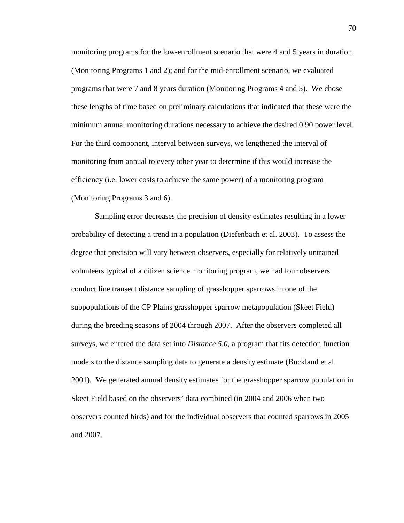monitoring programs for the low-enrollment scenario that were 4 and 5 years in duration (Monitoring Programs 1 and 2); and for the mid-enrollment scenario, we evaluated programs that were 7 and 8 years duration (Monitoring Programs 4 and 5). We chose these lengths of time based on preliminary calculations that indicated that these were the minimum annual monitoring durations necessary to achieve the desired 0.90 power level. For the third component, interval between surveys, we lengthened the interval of monitoring from annual to every other year to determine if this would increase the efficiency (i.e. lower costs to achieve the same power) of a monitoring program (Monitoring Programs 3 and 6).

 Sampling error decreases the precision of density estimates resulting in a lower probability of detecting a trend in a population (Diefenbach et al. 2003). To assess the degree that precision will vary between observers, especially for relatively untrained volunteers typical of a citizen science monitoring program, we had four observers conduct line transect distance sampling of grasshopper sparrows in one of the subpopulations of the CP Plains grasshopper sparrow metapopulation (Skeet Field) during the breeding seasons of 2004 through 2007. After the observers completed all surveys, we entered the data set into *Distance 5.0*, a program that fits detection function models to the distance sampling data to generate a density estimate (Buckland et al. 2001). We generated annual density estimates for the grasshopper sparrow population in Skeet Field based on the observers' data combined (in 2004 and 2006 when two observers counted birds) and for the individual observers that counted sparrows in 2005 and 2007.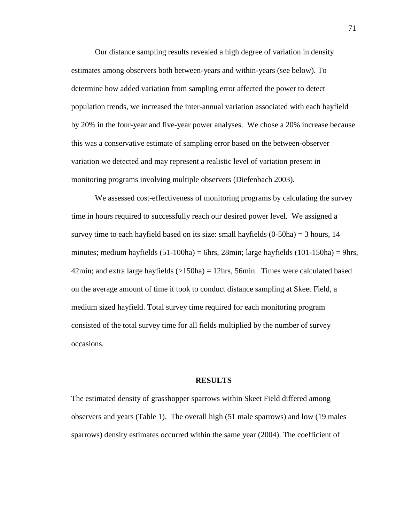Our distance sampling results revealed a high degree of variation in density estimates among observers both between-years and within-years (see below). To determine how added variation from sampling error affected the power to detect population trends, we increased the inter-annual variation associated with each hayfield by 20% in the four-year and five-year power analyses. We chose a 20% increase because this was a conservative estimate of sampling error based on the between-observer variation we detected and may represent a realistic level of variation present in monitoring programs involving multiple observers (Diefenbach 2003).

 We assessed cost-effectiveness of monitoring programs by calculating the survey time in hours required to successfully reach our desired power level. We assigned a survey time to each hayfield based on its size: small hayfields  $(0-50ha) = 3$  hours, 14 minutes; medium hayfields  $(51-100ha) = 6h$ rs, 28min; large hayfields  $(101-150ha) = 9h$ rs, 42min; and extra large hayfields  $(>150ha) = 12hrs$ , 56min. Times were calculated based on the average amount of time it took to conduct distance sampling at Skeet Field, a medium sized hayfield. Total survey time required for each monitoring program consisted of the total survey time for all fields multiplied by the number of survey occasions.

#### **RESULTS**

The estimated density of grasshopper sparrows within Skeet Field differed among observers and years (Table 1). The overall high (51 male sparrows) and low (19 males sparrows) density estimates occurred within the same year (2004). The coefficient of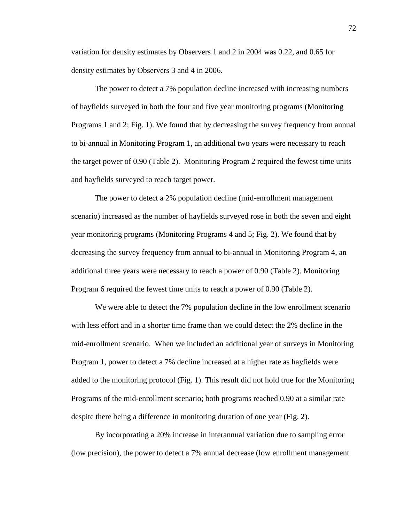variation for density estimates by Observers 1 and 2 in 2004 was 0.22, and 0.65 for density estimates by Observers 3 and 4 in 2006.

 The power to detect a 7% population decline increased with increasing numbers of hayfields surveyed in both the four and five year monitoring programs (Monitoring Programs 1 and 2; Fig. 1). We found that by decreasing the survey frequency from annual to bi-annual in Monitoring Program 1, an additional two years were necessary to reach the target power of 0.90 (Table 2). Monitoring Program 2 required the fewest time units and hayfields surveyed to reach target power.

 The power to detect a 2% population decline (mid-enrollment management scenario) increased as the number of hayfields surveyed rose in both the seven and eight year monitoring programs (Monitoring Programs 4 and 5; Fig. 2). We found that by decreasing the survey frequency from annual to bi-annual in Monitoring Program 4, an additional three years were necessary to reach a power of 0.90 (Table 2). Monitoring Program 6 required the fewest time units to reach a power of 0.90 (Table 2).

We were able to detect the 7% population decline in the low enrollment scenario with less effort and in a shorter time frame than we could detect the 2% decline in the mid-enrollment scenario. When we included an additional year of surveys in Monitoring Program 1, power to detect a 7% decline increased at a higher rate as hayfields were added to the monitoring protocol (Fig. 1). This result did not hold true for the Monitoring Programs of the mid-enrollment scenario; both programs reached 0.90 at a similar rate despite there being a difference in monitoring duration of one year (Fig. 2).

 By incorporating a 20% increase in interannual variation due to sampling error (low precision), the power to detect a 7% annual decrease (low enrollment management

72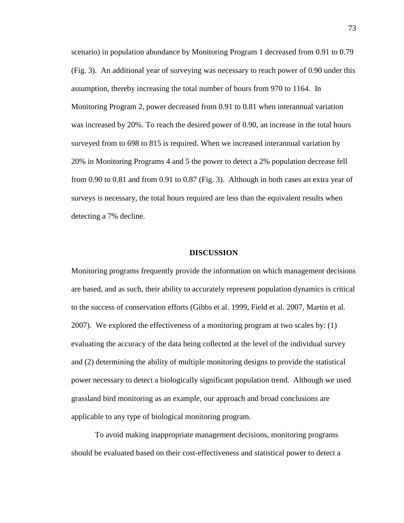scenario) in population abundance by Monitoring Program 1 decreased from 0.91 to 0.79 (Fig. 3). An additional year of surveying was necessary to reach power of 0.90 under this assumption, thereby increasing the total number of hours from 970 to 1164. In Monitoring Program 2, power decreased from 0.91 to 0.81 when interannual variation was increased by 20%. To reach the desired power of 0.90, an increase in the total hours surveyed from to 698 to 815 is required. When we increased interannual variation by 20% in Monitoring Programs 4 and 5 the power to detect a 2% population decrease fell from 0.90 to 0.81 and from 0.91 to 0.87 (Fig. 3). Although in both cases an extra year of surveys is necessary, the total hours required are less than the equivalent results when detecting a 7% decline.

#### **DISCUSSION**

Monitoring programs frequently provide the information on which management decisions are based, and as such, their ability to accurately represent population dynamics is critical to the success of conservation efforts (Gibbs et al. 1999, Field et al. 2007, Martin et al. 2007). We explored the effectiveness of a monitoring program at two scales by: (1) evaluating the accuracy of the data being collected at the level of the individual survey and (2) determining the ability of multiple monitoring designs to provide the statistical power necessary to detect a biologically significant population trend. Although we used grassland bird monitoring as an example, our approach and broad conclusions are applicable to any type of biological monitoring program.

 To avoid making inappropriate management decisions, monitoring programs should be evaluated based on their cost-effectiveness and statistical power to detect a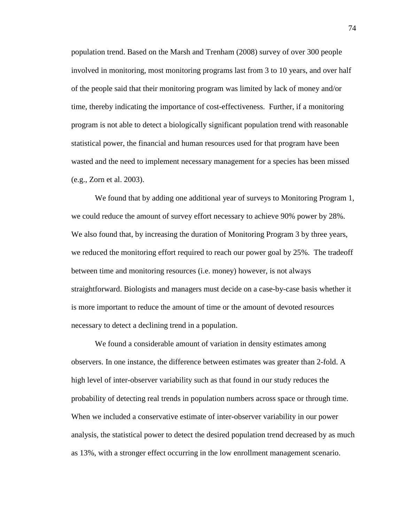population trend. Based on the Marsh and Trenham (2008) survey of over 300 people involved in monitoring, most monitoring programs last from 3 to 10 years, and over half of the people said that their monitoring program was limited by lack of money and/or time, thereby indicating the importance of cost-effectiveness. Further, if a monitoring program is not able to detect a biologically significant population trend with reasonable statistical power, the financial and human resources used for that program have been wasted and the need to implement necessary management for a species has been missed (e.g., Zorn et al. 2003).

 We found that by adding one additional year of surveys to Monitoring Program 1, we could reduce the amount of survey effort necessary to achieve 90% power by 28%. We also found that, by increasing the duration of Monitoring Program 3 by three years, we reduced the monitoring effort required to reach our power goal by 25%. The tradeoff between time and monitoring resources (i.e. money) however, is not always straightforward. Biologists and managers must decide on a case-by-case basis whether it is more important to reduce the amount of time or the amount of devoted resources necessary to detect a declining trend in a population.

 We found a considerable amount of variation in density estimates among observers. In one instance, the difference between estimates was greater than 2-fold. A high level of inter-observer variability such as that found in our study reduces the probability of detecting real trends in population numbers across space or through time. When we included a conservative estimate of inter-observer variability in our power analysis, the statistical power to detect the desired population trend decreased by as much as 13%, with a stronger effect occurring in the low enrollment management scenario.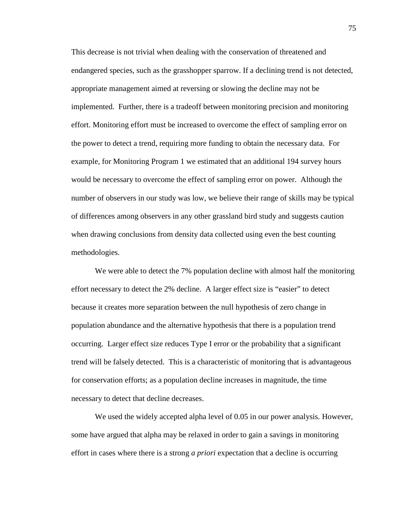This decrease is not trivial when dealing with the conservation of threatened and endangered species, such as the grasshopper sparrow. If a declining trend is not detected, appropriate management aimed at reversing or slowing the decline may not be implemented. Further, there is a tradeoff between monitoring precision and monitoring effort. Monitoring effort must be increased to overcome the effect of sampling error on the power to detect a trend, requiring more funding to obtain the necessary data. For example, for Monitoring Program 1 we estimated that an additional 194 survey hours would be necessary to overcome the effect of sampling error on power. Although the number of observers in our study was low, we believe their range of skills may be typical of differences among observers in any other grassland bird study and suggests caution when drawing conclusions from density data collected using even the best counting methodologies.

We were able to detect the 7% population decline with almost half the monitoring effort necessary to detect the 2% decline. A larger effect size is "easier" to detect because it creates more separation between the null hypothesis of zero change in population abundance and the alternative hypothesis that there is a population trend occurring. Larger effect size reduces Type I error or the probability that a significant trend will be falsely detected. This is a characteristic of monitoring that is advantageous for conservation efforts; as a population decline increases in magnitude, the time necessary to detect that decline decreases.

We used the widely accepted alpha level of 0.05 in our power analysis. However, some have argued that alpha may be relaxed in order to gain a savings in monitoring effort in cases where there is a strong *a priori* expectation that a decline is occurring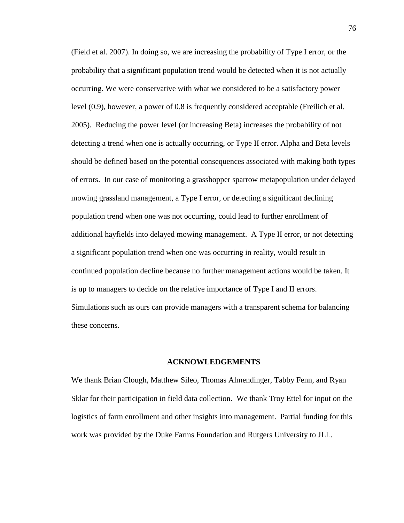(Field et al. 2007). In doing so, we are increasing the probability of Type I error, or the probability that a significant population trend would be detected when it is not actually occurring. We were conservative with what we considered to be a satisfactory power level (0.9), however, a power of 0.8 is frequently considered acceptable (Freilich et al. 2005). Reducing the power level (or increasing Beta) increases the probability of not detecting a trend when one is actually occurring, or Type II error. Alpha and Beta levels should be defined based on the potential consequences associated with making both types of errors. In our case of monitoring a grasshopper sparrow metapopulation under delayed mowing grassland management, a Type I error, or detecting a significant declining population trend when one was not occurring, could lead to further enrollment of additional hayfields into delayed mowing management. A Type II error, or not detecting a significant population trend when one was occurring in reality, would result in continued population decline because no further management actions would be taken. It is up to managers to decide on the relative importance of Type I and II errors. Simulations such as ours can provide managers with a transparent schema for balancing these concerns.

#### **ACKNOWLEDGEMENTS**

We thank Brian Clough, Matthew Sileo, Thomas Almendinger, Tabby Fenn, and Ryan Sklar for their participation in field data collection. We thank Troy Ettel for input on the logistics of farm enrollment and other insights into management. Partial funding for this work was provided by the Duke Farms Foundation and Rutgers University to JLL.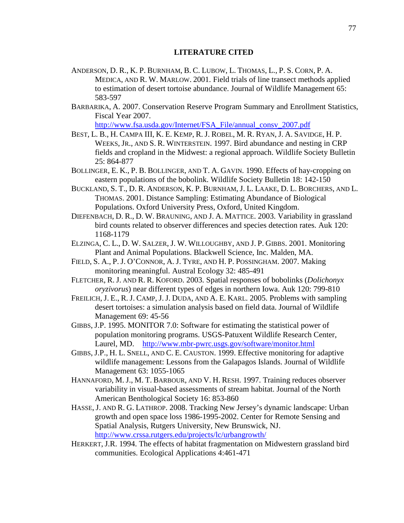# **LITERATURE CITED**

- ANDERSON, D. R., K. P. BURNHAM, B. C. LUBOW, L. THOMAS, L., P. S. CORN, P. A. MEDICA, AND R. W. MARLOW. 2001. Field trials of line transect methods applied to estimation of desert tortoise abundance. Journal of Wildlife Management 65: 583-597
- BARBARIKA, A. 2007. Conservation Reserve Program Summary and Enrollment Statistics, Fiscal Year 2007.

http://www.fsa.usda.gov/Internet/FSA\_File/annual\_consv\_2007.pdf

- BEST, L. B., H. CAMPA III, K. E. KEMP, R. J. ROBEL, M. R. RYAN, J. A. SAVIDGE, H. P. WEEKS, JR., AND S. R. WINTERSTEIN. 1997. Bird abundance and nesting in CRP fields and cropland in the Midwest: a regional approach. Wildlife Society Bulletin 25: 864-877
- BOLLINGER, E. K., P. B. BOLLINGER, AND T. A. GAVIN. 1990. Effects of hay-cropping on eastern populations of the bobolink. Wildlife Society Bulletin 18: 142-150
- BUCKLAND, S. T., D. R. ANDERSON, K. P. BURNHAM, J. L. LAAKE, D. L. BORCHERS, AND L. THOMAS. 2001. Distance Sampling: Estimating Abundance of Biological Populations. Oxford University Press, Oxford, United Kingdom.
- DIEFENBACH, D. R., D. W. BRAUNING, AND J. A. MATTICE. 2003. Variability in grassland bird counts related to observer differences and species detection rates. Auk 120: 1168-1179
- ELZINGA, C. L., D. W. SALZER, J. W. WILLOUGHBY, AND J. P. GIBBS. 2001. Monitoring Plant and Animal Populations. Blackwell Science, Inc. Malden, MA.
- FIELD, S. A., P. J. O'CONNOR, A. J. TYRE, AND H. P. POSSINGHAM. 2007. Making monitoring meaningful. Austral Ecology 32: 485-491
- FLETCHER, R. J. AND R. R. KOFORD. 2003. Spatial responses of bobolinks (*Dolichonyx oryzivorus*) near different types of edges in northern Iowa. Auk 120: 799-810
- FREILICH, J. E., R.J. CAMP, J.J. DUDA, AND A. E. KARL. 2005. Problems with sampling desert tortoises: a simulation analysis based on field data. Journal of Wildlife Management 69: 45-56
- GIBBS, J.P. 1995. MONITOR 7.0: Software for estimating the statistical power of population monitoring programs. USGS-Patuxent Wildlife Research Center, Laurel, MD. http://www.mbr-pwrc.usgs.gov/software/monitor.html
- GIBBS, J.P., H. L. SNELL, AND C. E. CAUSTON. 1999. Effective monitoring for adaptive wildlife management: Lessons from the Galapagos Islands. Journal of Wildlife Management 63: 1055-1065
- HANNAFORD, M. J., M. T. BARBOUR, AND V. H. RESH. 1997. Training reduces observer variability in visual-based assessments of stream habitat. Journal of the North American Benthological Society 16: 853-860
- HASSE, J. AND R. G. LATHROP. 2008. Tracking New Jersey's dynamic landscape: Urban growth and open space loss 1986-1995-2002. Center for Remote Sensing and Spatial Analysis, Rutgers University, New Brunswick, NJ. http://www.crssa.rutgers.edu/projects/lc/urbangrowth/
- HERKERT, J.R. 1994. The effects of habitat fragmentation on Midwestern grassland bird communities. Ecological Applications 4:461-471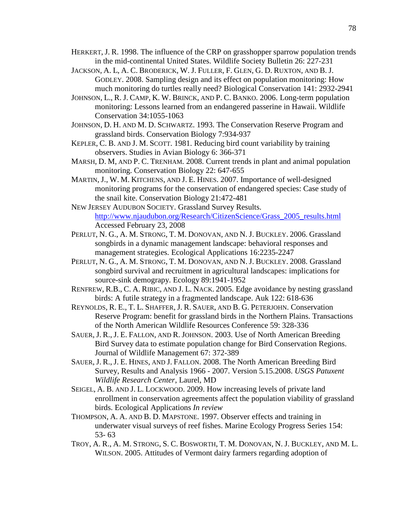- HERKERT, J. R. 1998. The influence of the CRP on grasshopper sparrow population trends in the mid-continental United States. Wildlife Society Bulletin 26: 227-231
- JACKSON, A. L, A. C. BRODERICK, W. J. FULLER, F. GLEN, G. D. RUXTON, AND B. J. GODLEY. 2008. Sampling design and its effect on population monitoring: How much monitoring do turtles really need? Biological Conservation 141: 2932-2941
- JOHNSON, L., R. J. CAMP, K. W. BRINCK, AND P. C. BANKO. 2006. Long-term population monitoring: Lessons learned from an endangered passerine in Hawaii. Wildlife Conservation 34:1055-1063
- JOHNSON, D. H. AND M. D. SCHWARTZ. 1993. The Conservation Reserve Program and grassland birds. Conservation Biology 7:934-937
- KEPLER, C. B. AND J. M. SCOTT. 1981. Reducing bird count variability by training observers. Studies in Avian Biology 6: 366-371
- MARSH, D. M, AND P. C. TRENHAM. 2008. Current trends in plant and animal population monitoring. Conservation Biology 22: 647-655
- MARTIN, J., W. M. KITCHENS, AND J. E. HINES. 2007. Importance of well-designed monitoring programs for the conservation of endangered species: Case study of the snail kite. Conservation Biology 21:472-481
- NEW JERSEY AUDUBON SOCIETY. Grassland Survey Results. http://www.njaudubon.org/Research/CitizenScience/Grass\_2005\_results.html Accessed February 23, 2008
- PERLUT, N. G., A. M. STRONG, T. M. DONOVAN, AND N. J. BUCKLEY. 2006. Grassland songbirds in a dynamic management landscape: behavioral responses and management strategies. Ecological Applications 16:2235-2247
- PERLUT, N. G., A. M. STRONG, T. M. DONOVAN, AND N. J. BUCKLEY. 2008. Grassland songbird survival and recruitment in agricultural landscapes: implications for source-sink demograpy. Ecology 89:1941-1952
- RENFREW, R.B., C. A. RIBIC, AND J. L. NACK. 2005. Edge avoidance by nesting grassland birds: A futile strategy in a fragmented landscape. Auk 122: 618-636
- REYNOLDS, R. E., T. L. SHAFFER, J. R. SAUER, AND B. G. PETERJOHN. Conservation Reserve Program: benefit for grassland birds in the Northern Plains. Transactions of the North American Wildlife Resources Conference 59: 328-336
- SAUER, J. R.,J. E. FALLON, AND R. JOHNSON. 2003. Use of North American Breeding Bird Survey data to estimate population change for Bird Conservation Regions. Journal of Wildlife Management 67: 372-389
- SAUER, J. R.,J. E. HINES, AND J. FALLON. 2008. The North American Breeding Bird Survey, Results and Analysis 1966 - 2007. Version 5.15.2008. *USGS Patuxent Wildlife Research Center*, Laurel, MD
- SEIGEL, A. B. AND J. L. LOCKWOOD. 2009. How increasing levels of private land enrollment in conservation agreements affect the population viability of grassland birds. Ecological Applications *In review*
- THOMPSON, A. A. AND B. D. MAPSTONE. 1997. Observer effects and training in underwater visual surveys of reef fishes. Marine Ecology Progress Series 154: 53- 63
- TROY, A. R., A. M. STRONG, S. C. BOSWORTH, T. M. DONOVAN, N. J. BUCKLEY, AND M. L. WILSON. 2005. Attitudes of Vermont dairy farmers regarding adoption of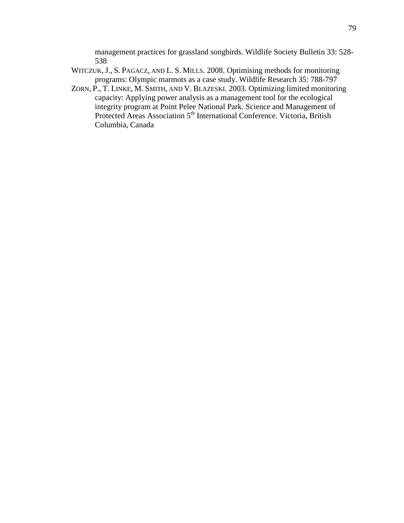management practices for grassland songbirds. Wildlife Society Bulletin 33: 528- 538

- WITCZUK, J., S. PAGACZ, AND L. S. MILLS. 2008. Optimising methods for monitoring programs: Olympic marmots as a case study. Wildlife Research 35: 788-797
- ZORN, P., T. LINKE, M. SMITH, AND V. BLAZESKI. 2003. Optimizing limited monitoring capacity: Applying power analysis as a management tool for the ecological integrity program at Point Pelee National Park. Science and Management of Protected Areas Association 5<sup>th</sup> International Conference. Victoria, British Columbia, Canada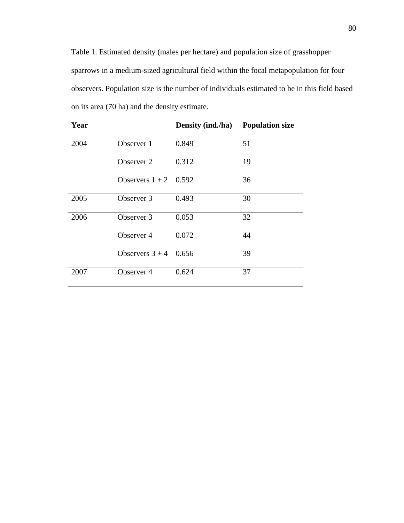Table 1. Estimated density (males per hectare) and population size of grasshopper sparrows in a medium-sized agricultural field within the focal metapopulation for four observers. Population size is the number of individuals estimated to be in this field based on its area (70 ha) and the density estimate.

| Year |                       | <b>Density (ind./ha)</b> | <b>Population size</b> |
|------|-----------------------|--------------------------|------------------------|
| 2004 | Observer 1            | 0.849                    | 51                     |
|      | Observer 2            | 0.312                    | 19                     |
|      | Observers $1+2$ 0.592 |                          | 36                     |
| 2005 | Observer 3            | 0.493                    | 30                     |
| 2006 | Observer 3            | 0.053                    | 32                     |
|      | Observer 4            | 0.072                    | 44                     |
|      | Observers $3 + 4$     | 0.656                    | 39                     |
| 2007 | Observer 4            | 0.624                    | 37                     |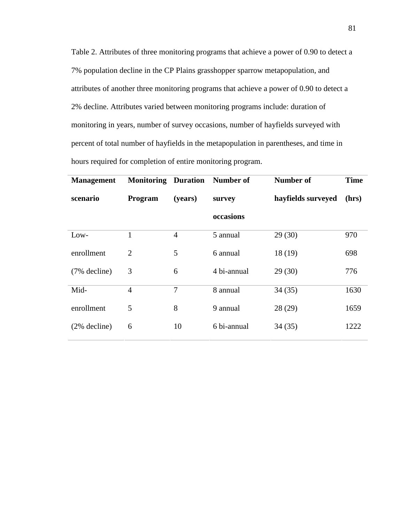Table 2. Attributes of three monitoring programs that achieve a power of 0.90 to detect a 7% population decline in the CP Plains grasshopper sparrow metapopulation, and attributes of another three monitoring programs that achieve a power of 0.90 to detect a 2% decline. Attributes varied between monitoring programs include: duration of monitoring in years, number of survey occasions, number of hayfields surveyed with percent of total number of hayfields in the metapopulation in parentheses, and time in hours required for completion of entire monitoring program.

| <b>Management</b> | <b>Monitoring</b> | <b>Duration</b> | Number of   | <b>Number of</b>   | <b>Time</b> |
|-------------------|-------------------|-----------------|-------------|--------------------|-------------|
| scenario          | Program           | (years)         | survey      | hayfields surveyed | (hrs)       |
|                   |                   |                 | occasions   |                    |             |
| Low-              | 1                 | $\overline{4}$  | 5 annual    | 29(30)             | 970         |
| enrollment        | $\overline{2}$    | 5               | 6 annual    | 18(19)             | 698         |
| $(7%$ decline)    | 3                 | 6               | 4 bi-annual | 29(30)             | 776         |
| Mid-              | $\overline{4}$    | $\overline{7}$  | 8 annual    | 34(35)             | 1630        |
| enrollment        | 5                 | 8               | 9 annual    | 28(29)             | 1659        |
| $(2%$ decline)    | 6                 | 10              | 6 bi-annual | 34(35)             | 1222        |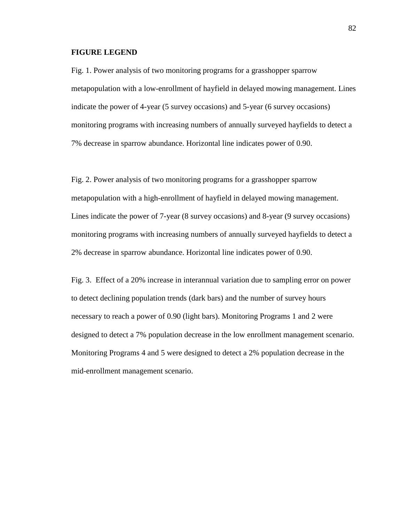### **FIGURE LEGEND**

Fig. 1. Power analysis of two monitoring programs for a grasshopper sparrow metapopulation with a low-enrollment of hayfield in delayed mowing management. Lines indicate the power of 4-year (5 survey occasions) and 5-year (6 survey occasions) monitoring programs with increasing numbers of annually surveyed hayfields to detect a 7% decrease in sparrow abundance. Horizontal line indicates power of 0.90.

Fig. 2. Power analysis of two monitoring programs for a grasshopper sparrow metapopulation with a high-enrollment of hayfield in delayed mowing management. Lines indicate the power of 7-year (8 survey occasions) and 8-year (9 survey occasions) monitoring programs with increasing numbers of annually surveyed hayfields to detect a 2% decrease in sparrow abundance. Horizontal line indicates power of 0.90.

Fig. 3. Effect of a 20% increase in interannual variation due to sampling error on power to detect declining population trends (dark bars) and the number of survey hours necessary to reach a power of 0.90 (light bars). Monitoring Programs 1 and 2 were designed to detect a 7% population decrease in the low enrollment management scenario. Monitoring Programs 4 and 5 were designed to detect a 2% population decrease in the mid-enrollment management scenario.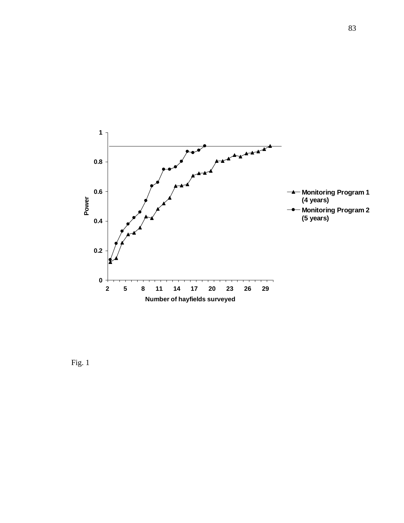

Fig. 1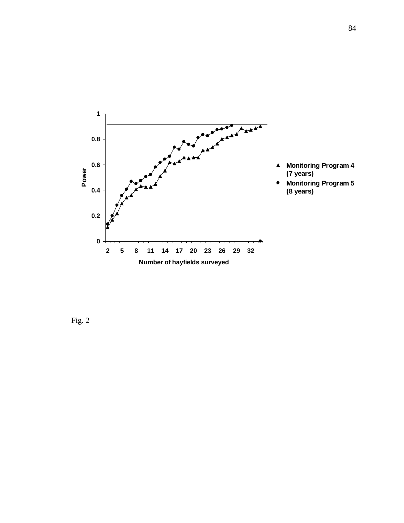

Fig. 2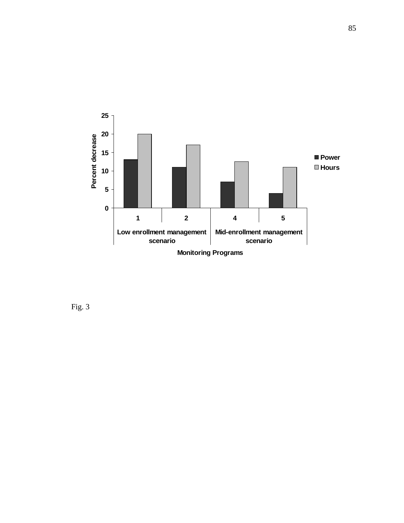

Fig. 3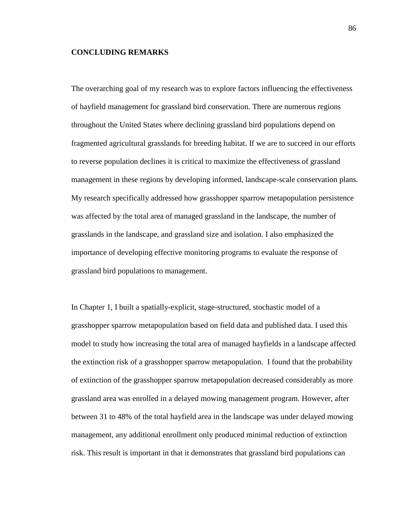## **CONCLUDING REMARKS**

The overarching goal of my research was to explore factors influencing the effectiveness of hayfield management for grassland bird conservation. There are numerous regions throughout the United States where declining grassland bird populations depend on fragmented agricultural grasslands for breeding habitat. If we are to succeed in our efforts to reverse population declines it is critical to maximize the effectiveness of grassland management in these regions by developing informed, landscape-scale conservation plans. My research specifically addressed how grasshopper sparrow metapopulation persistence was affected by the total area of managed grassland in the landscape, the number of grasslands in the landscape, and grassland size and isolation. I also emphasized the importance of developing effective monitoring programs to evaluate the response of grassland bird populations to management.

In Chapter 1, I built a spatially-explicit, stage-structured, stochastic model of a grasshopper sparrow metapopulation based on field data and published data. I used this model to study how increasing the total area of managed hayfields in a landscape affected the extinction risk of a grasshopper sparrow metapopulation. I found that the probability of extinction of the grasshopper sparrow metapopulation decreased considerably as more grassland area was enrolled in a delayed mowing management program. However, after between 31 to 48% of the total hayfield area in the landscape was under delayed mowing management, any additional enrollment only produced minimal reduction of extinction risk. This result is important in that it demonstrates that grassland bird populations can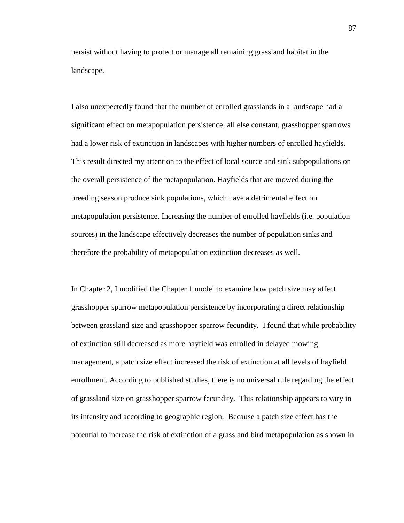persist without having to protect or manage all remaining grassland habitat in the landscape.

I also unexpectedly found that the number of enrolled grasslands in a landscape had a significant effect on metapopulation persistence; all else constant, grasshopper sparrows had a lower risk of extinction in landscapes with higher numbers of enrolled hayfields. This result directed my attention to the effect of local source and sink subpopulations on the overall persistence of the metapopulation. Hayfields that are mowed during the breeding season produce sink populations, which have a detrimental effect on metapopulation persistence. Increasing the number of enrolled hayfields (i.e. population sources) in the landscape effectively decreases the number of population sinks and therefore the probability of metapopulation extinction decreases as well.

In Chapter 2, I modified the Chapter 1 model to examine how patch size may affect grasshopper sparrow metapopulation persistence by incorporating a direct relationship between grassland size and grasshopper sparrow fecundity. I found that while probability of extinction still decreased as more hayfield was enrolled in delayed mowing management, a patch size effect increased the risk of extinction at all levels of hayfield enrollment. According to published studies, there is no universal rule regarding the effect of grassland size on grasshopper sparrow fecundity. This relationship appears to vary in its intensity and according to geographic region. Because a patch size effect has the potential to increase the risk of extinction of a grassland bird metapopulation as shown in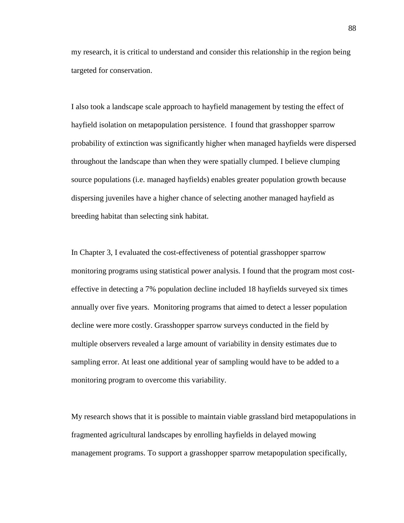my research, it is critical to understand and consider this relationship in the region being targeted for conservation.

I also took a landscape scale approach to hayfield management by testing the effect of hayfield isolation on metapopulation persistence. I found that grasshopper sparrow probability of extinction was significantly higher when managed hayfields were dispersed throughout the landscape than when they were spatially clumped. I believe clumping source populations (i.e. managed hayfields) enables greater population growth because dispersing juveniles have a higher chance of selecting another managed hayfield as breeding habitat than selecting sink habitat.

In Chapter 3, I evaluated the cost-effectiveness of potential grasshopper sparrow monitoring programs using statistical power analysis. I found that the program most costeffective in detecting a 7% population decline included 18 hayfields surveyed six times annually over five years. Monitoring programs that aimed to detect a lesser population decline were more costly. Grasshopper sparrow surveys conducted in the field by multiple observers revealed a large amount of variability in density estimates due to sampling error. At least one additional year of sampling would have to be added to a monitoring program to overcome this variability.

My research shows that it is possible to maintain viable grassland bird metapopulations in fragmented agricultural landscapes by enrolling hayfields in delayed mowing management programs. To support a grasshopper sparrow metapopulation specifically,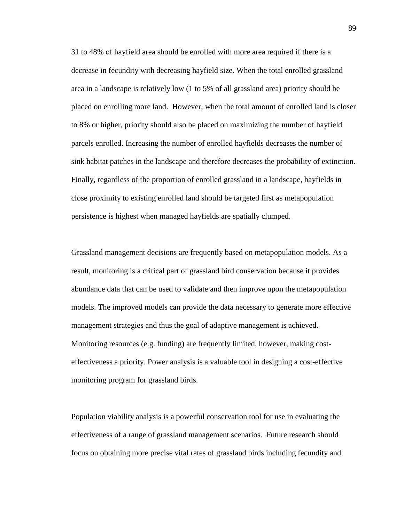31 to 48% of hayfield area should be enrolled with more area required if there is a decrease in fecundity with decreasing hayfield size. When the total enrolled grassland area in a landscape is relatively low (1 to 5% of all grassland area) priority should be placed on enrolling more land. However, when the total amount of enrolled land is closer to 8% or higher, priority should also be placed on maximizing the number of hayfield parcels enrolled. Increasing the number of enrolled hayfields decreases the number of sink habitat patches in the landscape and therefore decreases the probability of extinction. Finally, regardless of the proportion of enrolled grassland in a landscape, hayfields in close proximity to existing enrolled land should be targeted first as metapopulation persistence is highest when managed hayfields are spatially clumped.

Grassland management decisions are frequently based on metapopulation models. As a result, monitoring is a critical part of grassland bird conservation because it provides abundance data that can be used to validate and then improve upon the metapopulation models. The improved models can provide the data necessary to generate more effective management strategies and thus the goal of adaptive management is achieved. Monitoring resources (e.g. funding) are frequently limited, however, making costeffectiveness a priority. Power analysis is a valuable tool in designing a cost-effective monitoring program for grassland birds.

Population viability analysis is a powerful conservation tool for use in evaluating the effectiveness of a range of grassland management scenarios. Future research should focus on obtaining more precise vital rates of grassland birds including fecundity and